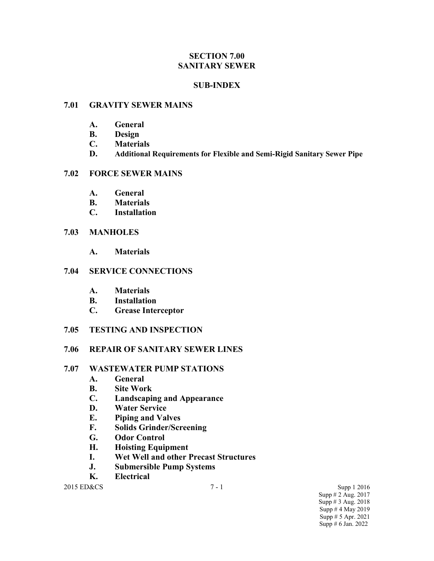### **SECTION 7.00 SANITARY SEWER**

### **SUB-INDEX**

#### **7.01 GRAVITY SEWER MAINS**

- **A. General**
- **B. Design**
- **C. Materials**
- **D. Additional Requirements for Flexible and Semi-Rigid Sanitary Sewer Pipe**

### **7.02 FORCE SEWER MAINS**

- **A. General**
- **B. Materials**
- **C. Installation**

#### **7.03 MANHOLES**

**A. Materials**

#### **7.04 SERVICE CONNECTIONS**

- **A. Materials**
- **B. Installation**
- **C. Grease Interceptor**

### **7.05 TESTING AND INSPECTION**

### **7.06 REPAIR OF SANITARY SEWER LINES**

#### **7.07 WASTEWATER PUMP STATIONS**

- **A. General**
- **B. Site Work**
- **C. Landscaping and Appearance**
- **D. Water Service**
- **E. Piping and Valves**
- **F. Solids Grinder/Screening**
- **G. Odor Control**
- **H. Hoisting Equipment**
- **I. Wet Well and other Precast Structures**
- **J. Submersible Pump Systems**
- **K. Electrical**

2015 ED&CS 3upp 1 2016 Supp # 2 Aug. 2017 Supp # 3 Aug. 2018 Supp # 4 May 2019 Supp # 5 Apr. 2021 Supp # 6 Jan. 2022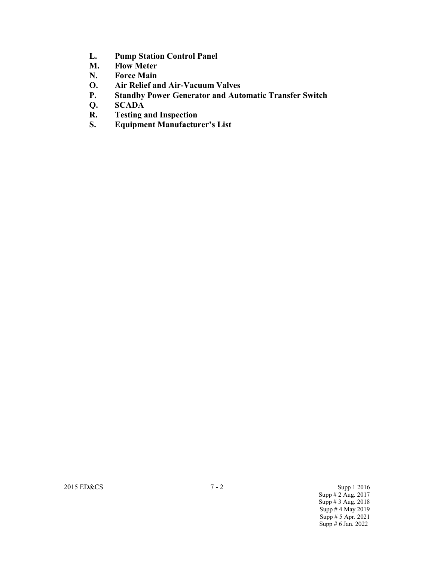- **L. Pump Station Control Panel**
- **M. Flow Meter**
- **N. Force Main**
- **O. Air Relief and Air-Vacuum Valves**
- **P. Standby Power Generator and Automatic Transfer Switch**
- 
- **Q. SCADA R. Testing and Inspection**
- **S. Equipment Manufacturer's List**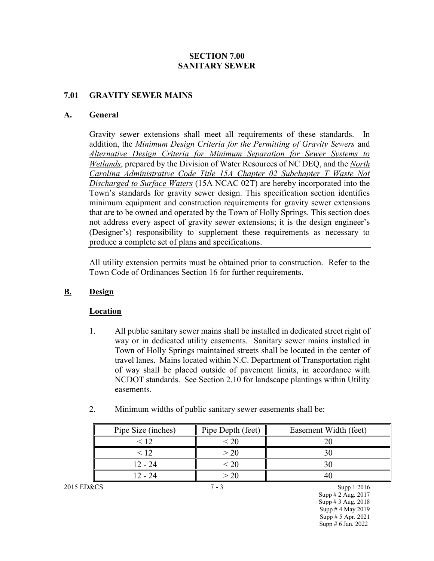### **SECTION 7.00 SANITARY SEWER**

### **7.01 GRAVITY SEWER MAINS**

#### **A. General**

Gravity sewer extensions shall meet all requirements of these standards. In addition, the *Minimum Design Criteria for the Permitting of Gravity Sewers* and *Alternative Design Criteria for Minimum Separation for Sewer Systems to Wetlands*, prepared by the Division of Water Resources of NC DEQ, and the *North Carolina Administrative Code Title 15A Chapter 02 Subchapter T Waste Not Discharged to Surface Waters* (15A NCAC 02T) are hereby incorporated into the Town's standards for gravity sewer design. This specification section identifies minimum equipment and construction requirements for gravity sewer extensions that are to be owned and operated by the Town of Holly Springs. This section does not address every aspect of gravity sewer extensions; it is the design engineer's (Designer's) responsibility to supplement these requirements as necessary to produce a complete set of plans and specifications.

All utility extension permits must be obtained prior to construction. Refer to the Town Code of Ordinances Section 16 for further requirements.

## **B. Design**

### **Location**

- 1. All public sanitary sewer mains shall be installed in dedicated street right of way or in dedicated utility easements. Sanitary sewer mains installed in Town of Holly Springs maintained streets shall be located in the center of travel lanes. Mains located within N.C. Department of Transportation right of way shall be placed outside of pavement limits, in accordance with NCDOT standards. See Section 2.10 for landscape plantings within Utility easements.
- 2. Minimum widths of public sanitary sewer easements shall be:

|            | Pipe Size (inches) | Pipe Depth (feet) | Easement Width (feet) |
|------------|--------------------|-------------------|-----------------------|
|            |                    |                   |                       |
|            | $<$ 12.            | > 20              |                       |
|            | $12 - 24$          |                   |                       |
|            | $12 - 24$          |                   |                       |
| 2015 ED&CS |                    |                   | Supp 1 2016           |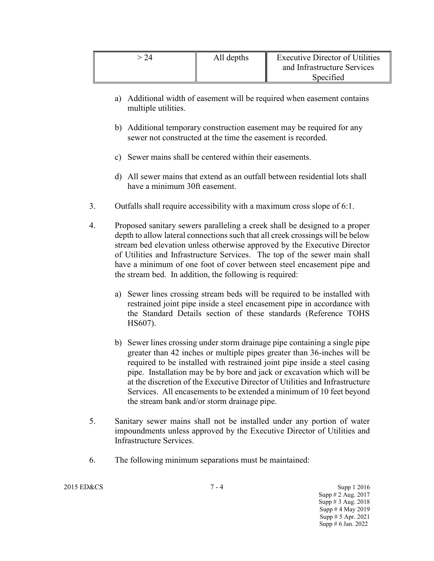| All depths | Executive Director of Utilities<br>and Infrastructure Services<br>Specified |
|------------|-----------------------------------------------------------------------------|
|            |                                                                             |

- a) Additional width of easement will be required when easement contains multiple utilities.
- b) Additional temporary construction easement may be required for any sewer not constructed at the time the easement is recorded.
- c) Sewer mains shall be centered within their easements.
- d) All sewer mains that extend as an outfall between residential lots shall have a minimum 30ft easement.
- 3. Outfalls shall require accessibility with a maximum cross slope of 6:1.
- 4. Proposed sanitary sewers paralleling a creek shall be designed to a proper depth to allow lateral connections such that all creek crossings will be below stream bed elevation unless otherwise approved by the Executive Director of Utilities and Infrastructure Services. The top of the sewer main shall have a minimum of one foot of cover between steel encasement pipe and the stream bed. In addition, the following is required:
	- a) Sewer lines crossing stream beds will be required to be installed with restrained joint pipe inside a steel encasement pipe in accordance with the Standard Details section of these standards (Reference TOHS HS607).
	- b) Sewer lines crossing under storm drainage pipe containing a single pipe greater than 42 inches or multiple pipes greater than 36-inches will be required to be installed with restrained joint pipe inside a steel casing pipe. Installation may be by bore and jack or excavation which will be at the discretion of the Executive Director of Utilities and Infrastructure Services. All encasements to be extended a minimum of 10 feet beyond the stream bank and/or storm drainage pipe.
- 5. Sanitary sewer mains shall not be installed under any portion of water impoundments unless approved by the Executive Director of Utilities and Infrastructure Services.
- 6. The following minimum separations must be maintained: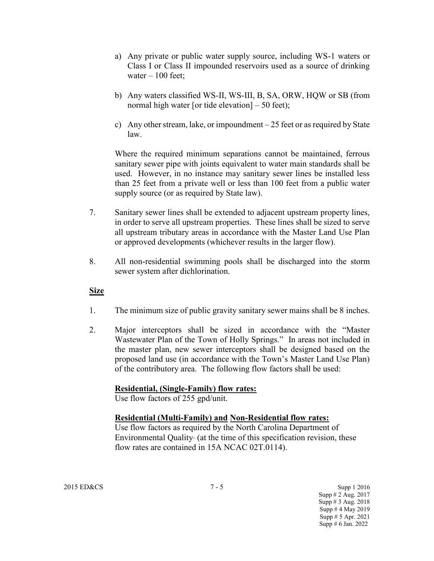- a) Any private or public water supply source, including WS-1 waters or Class I or Class II impounded reservoirs used as a source of drinking water  $-100$  feet;
- b) Any waters classified WS-II, WS-III, B, SA, ORW, HQW or SB (from normal high water [or tide elevation]  $-50$  feet);
- c) Any other stream, lake, or impoundment 25 feet or as required by State law.

Where the required minimum separations cannot be maintained, ferrous sanitary sewer pipe with joints equivalent to water main standards shall be used. However, in no instance may sanitary sewer lines be installed less than 25 feet from a private well or less than 100 feet from a public water supply source (or as required by State law).

- 7. Sanitary sewer lines shall be extended to adjacent upstream property lines, in order to serve all upstream properties. These lines shall be sized to serve all upstream tributary areas in accordance with the Master Land Use Plan or approved developments (whichever results in the larger flow).
- 8. All non-residential swimming pools shall be discharged into the storm sewer system after dichlorination.

### **Size**

- 1. The minimum size of public gravity sanitary sewer mains shall be 8 inches.
- 2. Major interceptors shall be sized in accordance with the "Master Wastewater Plan of the Town of Holly Springs." In areas not included in the master plan, new sewer interceptors shall be designed based on the proposed land use (in accordance with the Town's Master Land Use Plan) of the contributory area. The following flow factors shall be used:

### **Residential, (Single-Family) flow rates:**

Use flow factors of 255 gpd/unit.

### **Residential (Multi-Family) and Non-Residential flow rates:**

Use flow factors as required by the North Carolina Department of Environmental Quality- (at the time of this specification revision, these flow rates are contained in 15A NCAC 02T.0114).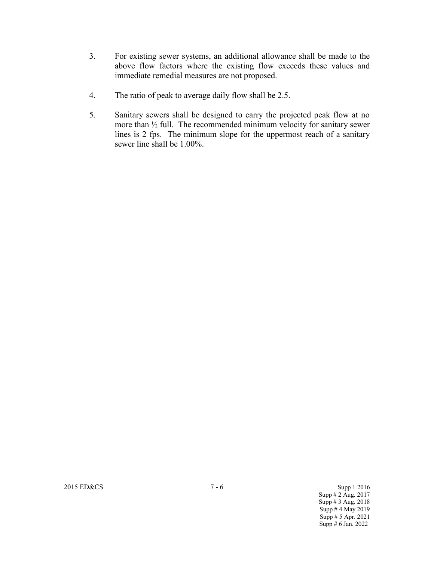- 3. For existing sewer systems, an additional allowance shall be made to the above flow factors where the existing flow exceeds these values and immediate remedial measures are not proposed.
- 4. The ratio of peak to average daily flow shall be 2.5.
- 5. Sanitary sewers shall be designed to carry the projected peak flow at no more than ½ full. The recommended minimum velocity for sanitary sewer lines is 2 fps. The minimum slope for the uppermost reach of a sanitary sewer line shall be 1.00%.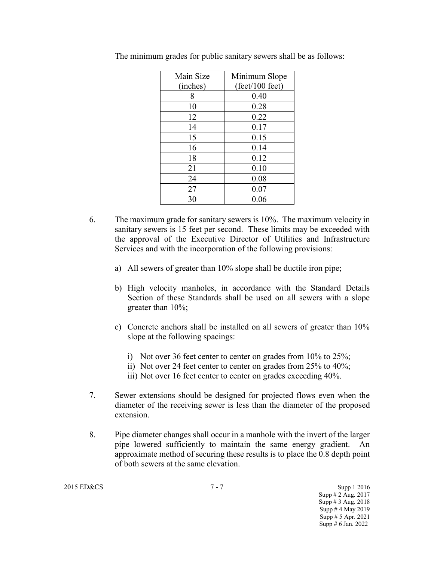| Main Size | Minimum Slope                    |
|-----------|----------------------------------|
| (inches)  | $(\text{feet}/100 \text{ feet})$ |
| 8         | 0.40                             |
| 10        | 0.28                             |
| 12        | 0.22                             |
| 14        | 0.17                             |
| 15        | 0.15                             |
| 16        | 0.14                             |
| 18        | 0.12                             |
| 21        | 0.10                             |
| 24        | 0.08                             |
| 27        | 0.07                             |
| 30        | 0.06                             |

The minimum grades for public sanitary sewers shall be as follows:

- 6. The maximum grade for sanitary sewers is 10%. The maximum velocity in sanitary sewers is 15 feet per second. These limits may be exceeded with the approval of the Executive Director of Utilities and Infrastructure Services and with the incorporation of the following provisions:
	- a) All sewers of greater than 10% slope shall be ductile iron pipe;
	- b) High velocity manholes, in accordance with the Standard Details Section of these Standards shall be used on all sewers with a slope greater than 10%;
	- c) Concrete anchors shall be installed on all sewers of greater than 10% slope at the following spacings:
		- i) Not over 36 feet center to center on grades from 10% to 25%;
		- ii) Not over 24 feet center to center on grades from 25% to 40%;
		- iii) Not over 16 feet center to center on grades exceeding 40%.
- 7. Sewer extensions should be designed for projected flows even when the diameter of the receiving sewer is less than the diameter of the proposed extension.
- 8. Pipe diameter changes shall occur in a manhole with the invert of the larger pipe lowered sufficiently to maintain the same energy gradient. An approximate method of securing these results is to place the 0.8 depth point of both sewers at the same elevation.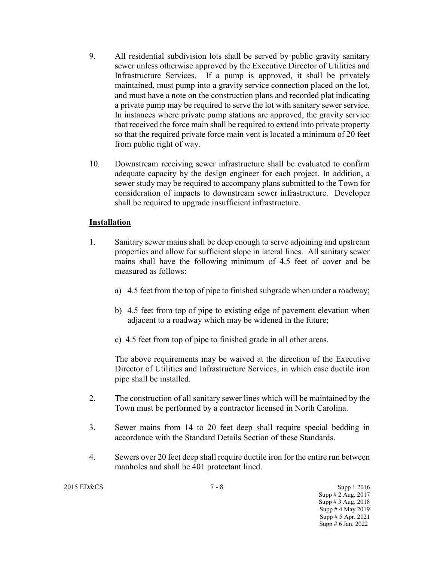- 9. All residential subdivision lots shall be served by public gravity sanitary sewer unless otherwise approved by the Executive Director of Utilities and Infrastructure Services. If a pump is approved, it shall be privately maintained, must pump into a gravity service connection placed on the lot, and must have a note on the construction plans and recorded plat indicating a private pump may be required to serve the lot with sanitary sewer service. In instances where private pump stations are approved, the gravity service that received the force main shall be required to extend into private property so that the required private force main vent is located a minimum of 20 feet from public right of way.
- 10. Downstream receiving sewer infrastructure shall be evaluated to confirm adequate capacity by the design engineer for each project. In addition, a sewer study may be required to accompany plans submitted to the Town for consideration of impacts to downstream sewer infrastructure. Developer shall be required to upgrade insufficient infrastructure.

### **Installation**

- 1. Sanitary sewer mains shall be deep enough to serve adjoining and upstream properties and allow for sufficient slope in lateral lines. All sanitary sewer mains shall have the following minimum of 4.5 feet of cover and be measured as follows:
	- a) 4.5 feet from the top of pipe to finished subgrade when under a roadway;
	- b) 4.5 feet from top of pipe to existing edge of pavement elevation when adjacent to a roadway which may be widened in the future;
	- c) 4.5 feet from top of pipe to finished grade in all other areas.

The above requirements may be waived at the direction of the Executive Director of Utilities and Infrastructure Services, in which case ductile iron pipe shall be installed.

- 2. The construction of all sanitary sewer lines which will be maintained by the Town must be performed by a contractor licensed in North Carolina.
- 3. Sewer mains from 14 to 20 feet deep shall require special bedding in accordance with the Standard Details Section of these Standards.
- 4. Sewers over 20 feet deep shall require ductile iron for the entire run between manholes and shall be 401 protectant lined.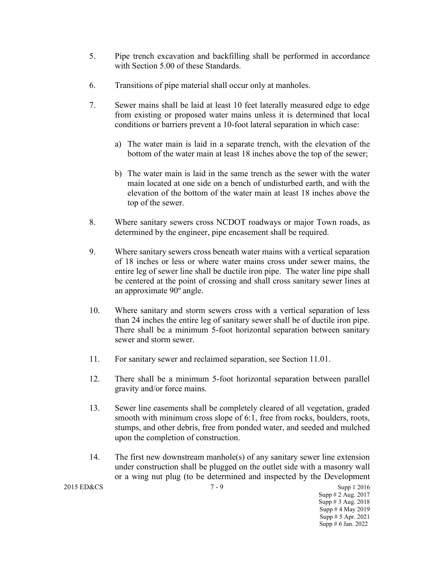- 5. Pipe trench excavation and backfilling shall be performed in accordance with Section 5.00 of these Standards.
- 6. Transitions of pipe material shall occur only at manholes.
- 7. Sewer mains shall be laid at least 10 feet laterally measured edge to edge from existing or proposed water mains unless it is determined that local conditions or barriers prevent a 10-foot lateral separation in which case:
	- a) The water main is laid in a separate trench, with the elevation of the bottom of the water main at least 18 inches above the top of the sewer;
	- b) The water main is laid in the same trench as the sewer with the water main located at one side on a bench of undisturbed earth, and with the elevation of the bottom of the water main at least 18 inches above the top of the sewer.
- 8. Where sanitary sewers cross NCDOT roadways or major Town roads, as determined by the engineer, pipe encasement shall be required.
- 9. Where sanitary sewers cross beneath water mains with a vertical separation of 18 inches or less or where water mains cross under sewer mains, the entire leg of sewer line shall be ductile iron pipe. The water line pipe shall be centered at the point of crossing and shall cross sanitary sewer lines at an approximate 90º angle.
- 10. Where sanitary and storm sewers cross with a vertical separation of less than 24 inches the entire leg of sanitary sewer shall be of ductile iron pipe. There shall be a minimum 5-foot horizontal separation between sanitary sewer and storm sewer.
- 11. For sanitary sewer and reclaimed separation, see Section 11.01.
- 12. There shall be a minimum 5-foot horizontal separation between parallel gravity and/or force mains.
- 13. Sewer line easements shall be completely cleared of all vegetation, graded smooth with minimum cross slope of 6:1, free from rocks, boulders, roots, stumps, and other debris, free from ponded water, and seeded and mulched upon the completion of construction.
- 14. The first new downstream manhole(s) of any sanitary sewer line extension under construction shall be plugged on the outlet side with a masonry wall or a wing nut plug (to be determined and inspected by the Development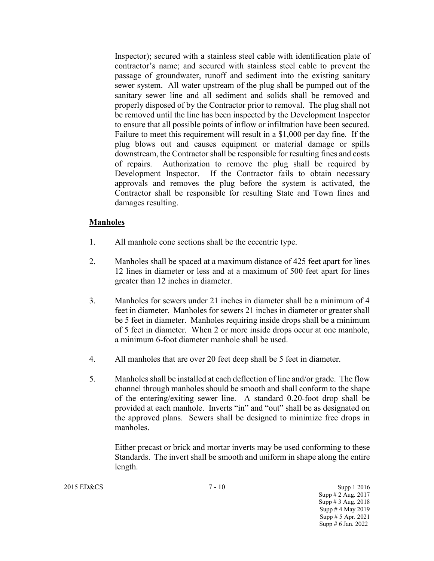Inspector); secured with a stainless steel cable with identification plate of contractor's name; and secured with stainless steel cable to prevent the passage of groundwater, runoff and sediment into the existing sanitary sewer system. All water upstream of the plug shall be pumped out of the sanitary sewer line and all sediment and solids shall be removed and properly disposed of by the Contractor prior to removal. The plug shall not be removed until the line has been inspected by the Development Inspector to ensure that all possible points of inflow or infiltration have been secured. Failure to meet this requirement will result in a \$1,000 per day fine. If the plug blows out and causes equipment or material damage or spills downstream, the Contractor shall be responsible for resulting fines and costs of repairs. Authorization to remove the plug shall be required by Development Inspector. If the Contractor fails to obtain necessary approvals and removes the plug before the system is activated, the Contractor shall be responsible for resulting State and Town fines and damages resulting.

#### **Manholes**

- 1. All manhole cone sections shall be the eccentric type.
- 2. Manholes shall be spaced at a maximum distance of 425 feet apart for lines 12 lines in diameter or less and at a maximum of 500 feet apart for lines greater than 12 inches in diameter.
- 3. Manholes for sewers under 21 inches in diameter shall be a minimum of 4 feet in diameter. Manholes for sewers 21 inches in diameter or greater shall be 5 feet in diameter. Manholes requiring inside drops shall be a minimum of 5 feet in diameter. When 2 or more inside drops occur at one manhole, a minimum 6-foot diameter manhole shall be used.
- 4. All manholes that are over 20 feet deep shall be 5 feet in diameter.
- 5. Manholes shall be installed at each deflection of line and/or grade. The flow channel through manholes should be smooth and shall conform to the shape of the entering/exiting sewer line. A standard 0.20-foot drop shall be provided at each manhole. Inverts "in" and "out" shall be as designated on the approved plans. Sewers shall be designed to minimize free drops in manholes.

Either precast or brick and mortar inverts may be used conforming to these Standards. The invert shall be smooth and uniform in shape along the entire length.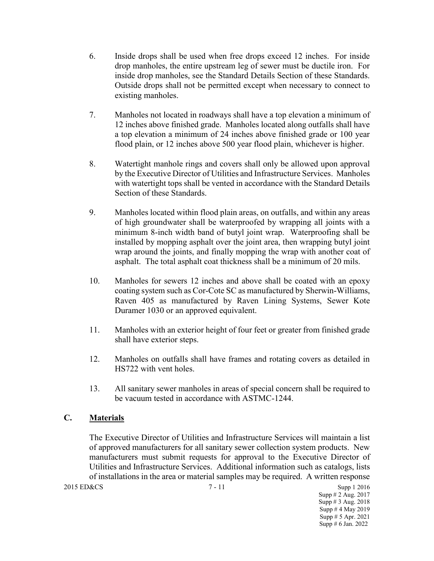- 6. Inside drops shall be used when free drops exceed 12 inches. For inside drop manholes, the entire upstream leg of sewer must be ductile iron. For inside drop manholes, see the Standard Details Section of these Standards. Outside drops shall not be permitted except when necessary to connect to existing manholes.
- 7. Manholes not located in roadways shall have a top elevation a minimum of 12 inches above finished grade. Manholes located along outfalls shall have a top elevation a minimum of 24 inches above finished grade or 100 year flood plain, or 12 inches above 500 year flood plain, whichever is higher.
- 8. Watertight manhole rings and covers shall only be allowed upon approval by the Executive Director of Utilities and Infrastructure Services. Manholes with watertight tops shall be vented in accordance with the Standard Details Section of these Standards.
- 9. Manholes located within flood plain areas, on outfalls, and within any areas of high groundwater shall be waterproofed by wrapping all joints with a minimum 8-inch width band of butyl joint wrap. Waterproofing shall be installed by mopping asphalt over the joint area, then wrapping butyl joint wrap around the joints, and finally mopping the wrap with another coat of asphalt. The total asphalt coat thickness shall be a minimum of 20 mils.
- 10. Manholes for sewers 12 inches and above shall be coated with an epoxy coating system such as Cor-Cote SC as manufactured by Sherwin-Williams, Raven 405 as manufactured by Raven Lining Systems, Sewer Kote Duramer 1030 or an approved equivalent.
- 11. Manholes with an exterior height of four feet or greater from finished grade shall have exterior steps.
- 12. Manholes on outfalls shall have frames and rotating covers as detailed in HS722 with vent holes.
- 13. All sanitary sewer manholes in areas of special concern shall be required to be vacuum tested in accordance with ASTMC-1244.

## **C. Materials**

The Executive Director of Utilities and Infrastructure Services will maintain a list of approved manufacturers for all sanitary sewer collection system products. New manufacturers must submit requests for approval to the Executive Director of Utilities and Infrastructure Services. Additional information such as catalogs, lists of installations in the area or material samples may be required. A written response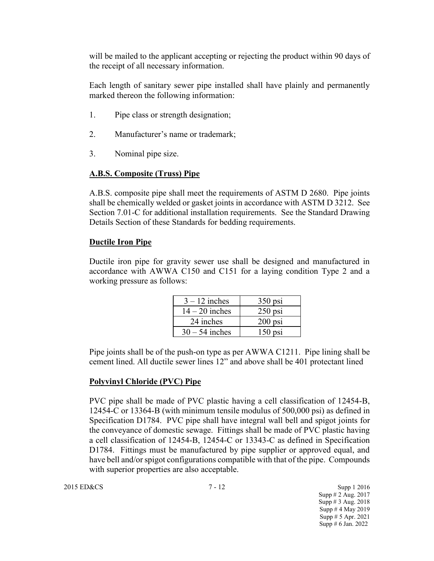will be mailed to the applicant accepting or rejecting the product within 90 days of the receipt of all necessary information.

Each length of sanitary sewer pipe installed shall have plainly and permanently marked thereon the following information:

- 1. Pipe class or strength designation;
- 2. Manufacturer's name or trademark;
- 3. Nominal pipe size.

### **A.B.S. Composite (Truss) Pipe**

A.B.S. composite pipe shall meet the requirements of ASTM D 2680. Pipe joints shall be chemically welded or gasket joints in accordance with ASTM D 3212. See Section 7.01-C for additional installation requirements. See the Standard Drawing Details Section of these Standards for bedding requirements.

### **Ductile Iron Pipe**

Ductile iron pipe for gravity sewer use shall be designed and manufactured in accordance with AWWA C150 and C151 for a laying condition Type 2 and a working pressure as follows:

| $3 - 12$ inches  | $350$ psi |
|------------------|-----------|
| $14 - 20$ inches | $250$ psi |
| 24 inches        | $200$ psi |
| $30 - 54$ inches | $150$ psi |

Pipe joints shall be of the push-on type as per AWWA C1211. Pipe lining shall be cement lined. All ductile sewer lines 12" and above shall be 401 protectant lined

### **Polyvinyl Chloride (PVC) Pipe**

PVC pipe shall be made of PVC plastic having a cell classification of 12454-B, 12454-C or 13364-B (with minimum tensile modulus of 500,000 psi) as defined in Specification D1784. PVC pipe shall have integral wall bell and spigot joints for the conveyance of domestic sewage. Fittings shall be made of PVC plastic having a cell classification of 12454-B, 12454-C or 13343-C as defined in Specification D1784. Fittings must be manufactured by pipe supplier or approved equal, and have bell and/or spigot configurations compatible with that of the pipe. Compounds with superior properties are also acceptable.

2015 ED&CS 3upp 1 2016 Supp # 2 Aug. 2017 Supp # 3 Aug. 2018 Supp # 4 May 2019 Supp # 5 Apr. 2021 Supp # 6 Jan. 2022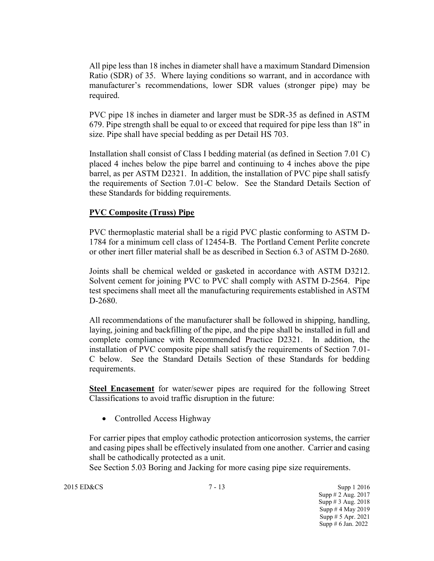All pipe less than 18 inches in diameter shall have a maximum Standard Dimension Ratio (SDR) of 35. Where laying conditions so warrant, and in accordance with manufacturer's recommendations, lower SDR values (stronger pipe) may be required.

PVC pipe 18 inches in diameter and larger must be SDR-35 as defined in ASTM 679. Pipe strength shall be equal to or exceed that required for pipe less than 18" in size. Pipe shall have special bedding as per Detail HS 703.

Installation shall consist of Class I bedding material (as defined in Section 7.01 C) placed 4 inches below the pipe barrel and continuing to 4 inches above the pipe barrel, as per ASTM D2321. In addition, the installation of PVC pipe shall satisfy the requirements of Section 7.01-C below. See the Standard Details Section of these Standards for bidding requirements.

### **PVC Composite (Truss) Pipe**

PVC thermoplastic material shall be a rigid PVC plastic conforming to ASTM D-1784 for a minimum cell class of 12454-B. The Portland Cement Perlite concrete or other inert filler material shall be as described in Section 6.3 of ASTM D-2680.

Joints shall be chemical welded or gasketed in accordance with ASTM D3212. Solvent cement for joining PVC to PVC shall comply with ASTM D-2564. Pipe test specimens shall meet all the manufacturing requirements established in ASTM D-2680.

All recommendations of the manufacturer shall be followed in shipping, handling, laying, joining and backfilling of the pipe, and the pipe shall be installed in full and complete compliance with Recommended Practice D2321. In addition, the installation of PVC composite pipe shall satisfy the requirements of Section 7.01- C below. See the Standard Details Section of these Standards for bedding requirements.

**Steel Encasement** for water/sewer pipes are required for the following Street Classifications to avoid traffic disruption in the future:

• Controlled Access Highway

For carrier pipes that employ cathodic protection anticorrosion systems, the carrier and casing pipes shall be effectively insulated from one another. Carrier and casing shall be cathodically protected as a unit.

See Section 5.03 Boring and Jacking for more casing pipe size requirements.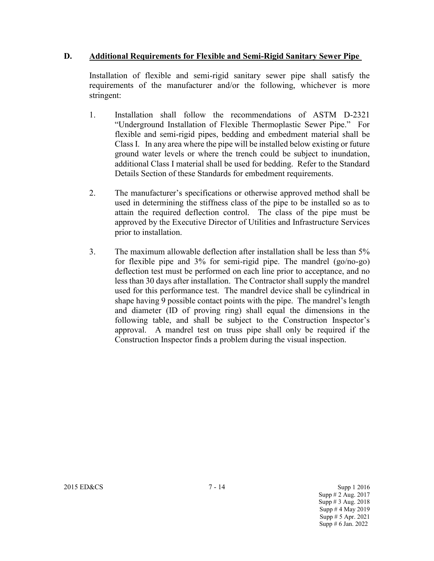### **D. Additional Requirements for Flexible and Semi-Rigid Sanitary Sewer Pipe**

Installation of flexible and semi-rigid sanitary sewer pipe shall satisfy the requirements of the manufacturer and/or the following, whichever is more stringent:

- 1. Installation shall follow the recommendations of ASTM D-2321 "Underground Installation of Flexible Thermoplastic Sewer Pipe." For flexible and semi-rigid pipes, bedding and embedment material shall be Class I. In any area where the pipe will be installed below existing or future ground water levels or where the trench could be subject to inundation, additional Class I material shall be used for bedding. Refer to the Standard Details Section of these Standards for embedment requirements.
- 2. The manufacturer's specifications or otherwise approved method shall be used in determining the stiffness class of the pipe to be installed so as to attain the required deflection control. The class of the pipe must be approved by the Executive Director of Utilities and Infrastructure Services prior to installation.
- 3. The maximum allowable deflection after installation shall be less than 5% for flexible pipe and 3% for semi-rigid pipe. The mandrel (go/no-go) deflection test must be performed on each line prior to acceptance, and no less than 30 days after installation. The Contractor shall supply the mandrel used for this performance test. The mandrel device shall be cylindrical in shape having 9 possible contact points with the pipe. The mandrel's length and diameter (ID of proving ring) shall equal the dimensions in the following table, and shall be subject to the Construction Inspector's approval. A mandrel test on truss pipe shall only be required if the Construction Inspector finds a problem during the visual inspection.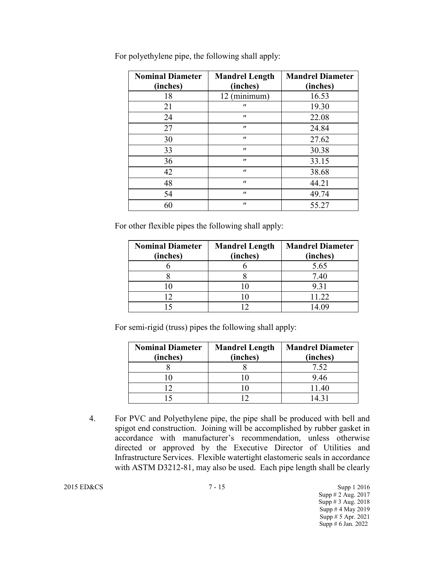| <b>Nominal Diameter</b> | <b>Mandrel Length</b> | <b>Mandrel Diameter</b> |  |  |  |
|-------------------------|-----------------------|-------------------------|--|--|--|
| (inches)                | (inches)              | (inches)                |  |  |  |
| 18                      | 12 (minimum)          | 16.53                   |  |  |  |
| 21                      | $^{\prime\prime}$     | 19.30                   |  |  |  |
| 24                      | $^{\prime\prime}$     | 22.08                   |  |  |  |
| 27                      | $^{\prime\prime}$     | 24.84                   |  |  |  |
| 30                      | $^{\prime\prime}$     | 27.62                   |  |  |  |
| 33                      | $^{\prime\prime}$     | 30.38                   |  |  |  |
| 36                      | $^{\prime\prime}$     | 33.15                   |  |  |  |
| 42                      | $^{\prime\prime}$     | 38.68                   |  |  |  |
| 48                      | $^{\prime\prime}$     | 44.21                   |  |  |  |
| 54                      | $^{\prime\prime}$     | 49.74                   |  |  |  |
| 60                      | $^{\prime\prime}$     | 55.27                   |  |  |  |

For polyethylene pipe, the following shall apply:

For other flexible pipes the following shall apply:

| <b>Nominal Diameter</b><br>(inches) | <b>Mandrel Length</b><br>(inches) | <b>Mandrel Diameter</b><br>(inches) |  |  |  |
|-------------------------------------|-----------------------------------|-------------------------------------|--|--|--|
|                                     |                                   | 5.65                                |  |  |  |
|                                     |                                   | 7.40                                |  |  |  |
|                                     |                                   | 9.31                                |  |  |  |
|                                     |                                   | 11.22                               |  |  |  |
|                                     |                                   | 14.09                               |  |  |  |

For semi-rigid (truss) pipes the following shall apply:

| <b>Nominal Diameter</b> | <b>Mandrel Length</b> | <b>Mandrel Diameter</b> |  |  |  |  |
|-------------------------|-----------------------|-------------------------|--|--|--|--|
| (inches)                | (inches)              | (inches)                |  |  |  |  |
|                         |                       | 7.52                    |  |  |  |  |
|                         |                       | 9.46                    |  |  |  |  |
|                         |                       | 11.40                   |  |  |  |  |
|                         |                       | 14 <sup>3</sup>         |  |  |  |  |

4. For PVC and Polyethylene pipe, the pipe shall be produced with bell and spigot end construction. Joining will be accomplished by rubber gasket in accordance with manufacturer's recommendation, unless otherwise directed or approved by the Executive Director of Utilities and Infrastructure Services. Flexible watertight elastomeric seals in accordance with ASTM D3212-81, may also be used. Each pipe length shall be clearly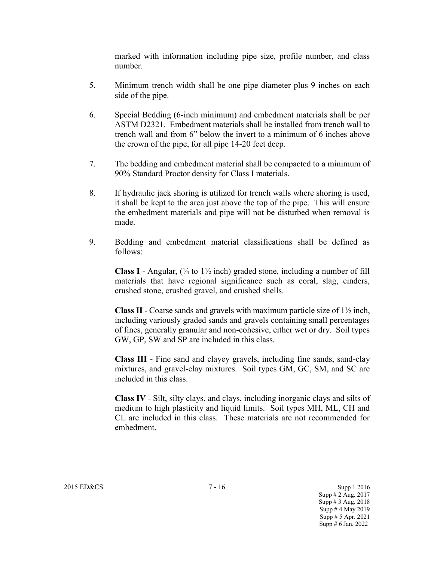marked with information including pipe size, profile number, and class number.

- 5. Minimum trench width shall be one pipe diameter plus 9 inches on each side of the pipe.
- 6. Special Bedding (6-inch minimum) and embedment materials shall be per ASTM D2321. Embedment materials shall be installed from trench wall to trench wall and from 6" below the invert to a minimum of 6 inches above the crown of the pipe, for all pipe 14-20 feet deep.
- 7. The bedding and embedment material shall be compacted to a minimum of 90% Standard Proctor density for Class I materials.
- 8. If hydraulic jack shoring is utilized for trench walls where shoring is used, it shall be kept to the area just above the top of the pipe. This will ensure the embedment materials and pipe will not be disturbed when removal is made.
- 9. Bedding and embedment material classifications shall be defined as follows:

**Class I** - Angular,  $\left(\frac{1}{4}$  to  $1\frac{1}{2}$  inch) graded stone, including a number of fill materials that have regional significance such as coral, slag, cinders, crushed stone, crushed gravel, and crushed shells.

**Class II** - Coarse sands and gravels with maximum particle size of  $1\frac{1}{2}$  inch, including variously graded sands and gravels containing small percentages of fines, generally granular and non-cohesive, either wet or dry. Soil types GW, GP, SW and SP are included in this class.

**Class III** - Fine sand and clayey gravels, including fine sands, sand-clay mixtures, and gravel-clay mixtures. Soil types GM, GC, SM, and SC are included in this class.

**Class IV** - Silt, silty clays, and clays, including inorganic clays and silts of medium to high plasticity and liquid limits. Soil types MH, ML, CH and CL are included in this class. These materials are not recommended for embedment.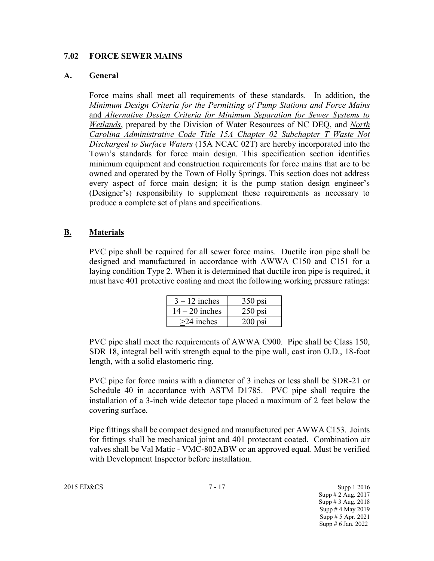### **7.02 FORCE SEWER MAINS**

### **A. General**

Force mains shall meet all requirements of these standards. In addition, the *Minimum Design Criteria for the Permitting of Pump Stations and Force Mains*  and *Alternative Design Criteria for Minimum Separation for Sewer Systems to Wetlands*, prepared by the Division of Water Resources of NC DEQ, and *North Carolina Administrative Code Title 15A Chapter 02 Subchapter T Waste Not Discharged to Surface Waters* (15A NCAC 02T) are hereby incorporated into the Town's standards for force main design. This specification section identifies minimum equipment and construction requirements for force mains that are to be owned and operated by the Town of Holly Springs. This section does not address every aspect of force main design; it is the pump station design engineer's (Designer's) responsibility to supplement these requirements as necessary to produce a complete set of plans and specifications.

### **B. Materials**

PVC pipe shall be required for all sewer force mains. Ductile iron pipe shall be designed and manufactured in accordance with AWWA C150 and C151 for a laying condition Type 2. When it is determined that ductile iron pipe is required, it must have 401 protective coating and meet the following working pressure ratings:

| $3 - 12$ inches  | $350$ psi |
|------------------|-----------|
| $14 - 20$ inches | $250$ psi |
| $>24$ inches     | $200$ psi |

PVC pipe shall meet the requirements of AWWA C900. Pipe shall be Class 150, SDR 18, integral bell with strength equal to the pipe wall, cast iron O.D., 18-foot length, with a solid elastomeric ring.

PVC pipe for force mains with a diameter of 3 inches or less shall be SDR-21 or Schedule 40 in accordance with ASTM D1785. PVC pipe shall require the installation of a 3-inch wide detector tape placed a maximum of 2 feet below the covering surface.

Pipe fittings shall be compact designed and manufactured per AWWA C153. Joints for fittings shall be mechanical joint and 401 protectant coated. Combination air valves shall be Val Matic - VMC-802ABW or an approved equal. Must be verified with Development Inspector before installation.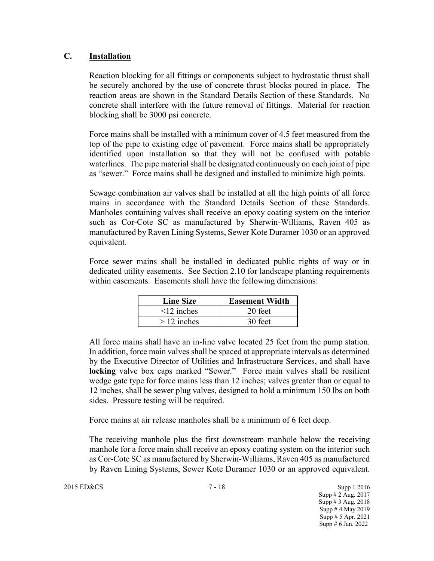### **C. Installation**

Reaction blocking for all fittings or components subject to hydrostatic thrust shall be securely anchored by the use of concrete thrust blocks poured in place. The reaction areas are shown in the Standard Details Section of these Standards. No concrete shall interfere with the future removal of fittings. Material for reaction blocking shall be 3000 psi concrete.

Force mains shall be installed with a minimum cover of 4.5 feet measured from the top of the pipe to existing edge of pavement. Force mains shall be appropriately identified upon installation so that they will not be confused with potable waterlines. The pipe material shall be designated continuously on each joint of pipe as "sewer." Force mains shall be designed and installed to minimize high points.

Sewage combination air valves shall be installed at all the high points of all force mains in accordance with the Standard Details Section of these Standards. Manholes containing valves shall receive an epoxy coating system on the interior such as Cor-Cote SC as manufactured by Sherwin-Williams, Raven 405 as manufactured by Raven Lining Systems, Sewer Kote Duramer 1030 or an approved equivalent.

Force sewer mains shall be installed in dedicated public rights of way or in dedicated utility easements. See Section 2.10 for landscape planting requirements within easements. Easements shall have the following dimensions:

| <b>Line Size</b> | <b>Easement Width</b> |
|------------------|-----------------------|
| $\leq$ 12 inches | 20 feet               |
| $>12$ inches     | 30 feet               |

All force mains shall have an in-line valve located 25 feet from the pump station. In addition, force main valves shall be spaced at appropriate intervals as determined by the Executive Director of Utilities and Infrastructure Services, and shall have **locking** valve box caps marked "Sewer." Force main valves shall be resilient wedge gate type for force mains less than 12 inches; valves greater than or equal to 12 inches, shall be sewer plug valves, designed to hold a minimum 150 lbs on both sides. Pressure testing will be required.

Force mains at air release manholes shall be a minimum of 6 feet deep.

The receiving manhole plus the first downstream manhole below the receiving manhole for a force main shall receive an epoxy coating system on the interior such as Cor-Cote SC as manufactured by Sherwin-Williams, Raven 405 as manufactured by Raven Lining Systems, Sewer Kote Duramer 1030 or an approved equivalent.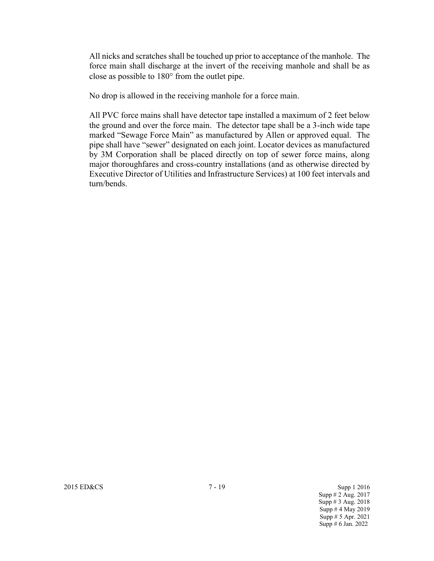All nicks and scratches shall be touched up prior to acceptance of the manhole. The force main shall discharge at the invert of the receiving manhole and shall be as close as possible to  $180^\circ$  from the outlet pipe.

No drop is allowed in the receiving manhole for a force main.

All PVC force mains shall have detector tape installed a maximum of 2 feet below the ground and over the force main. The detector tape shall be a 3-inch wide tape marked "Sewage Force Main" as manufactured by Allen or approved equal. The pipe shall have "sewer" designated on each joint. Locator devices as manufactured by 3M Corporation shall be placed directly on top of sewer force mains, along major thoroughfares and cross-country installations (and as otherwise directed by Executive Director of Utilities and Infrastructure Services) at 100 feet intervals and turn/bends.

2015 ED&CS 3upp 1 2016

Supp # 2 Aug. 2017 Supp # 3 Aug. 2018 Supp # 4 May 2019 Supp # 5 Apr. 2021 Supp # 6 Jan. 2022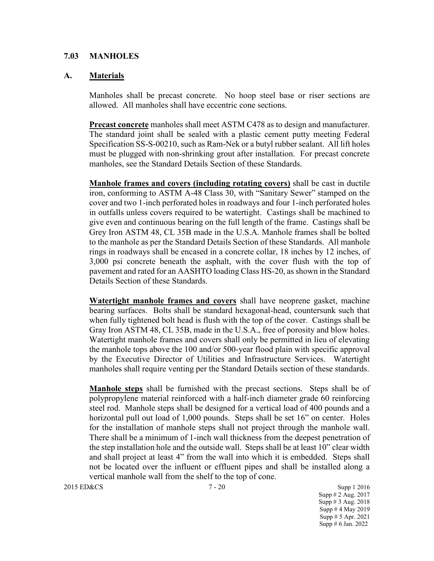#### **7.03 MANHOLES**

#### **A. Materials**

Manholes shall be precast concrete. No hoop steel base or riser sections are allowed. All manholes shall have eccentric cone sections.

**Precast concrete** manholes shall meet ASTM C478 as to design and manufacturer. The standard joint shall be sealed with a plastic cement putty meeting Federal Specification SS-S-00210, such as Ram-Nek or a butyl rubber sealant. All lift holes must be plugged with non-shrinking grout after installation. For precast concrete manholes, see the Standard Details Section of these Standards.

**Manhole frames and covers (including rotating covers)** shall be cast in ductile iron, conforming to ASTM A-48 Class 30, with "Sanitary Sewer" stamped on the cover and two 1-inch perforated holes in roadways and four 1-inch perforated holes in outfalls unless covers required to be watertight. Castings shall be machined to give even and continuous bearing on the full length of the frame. Castings shall be Grey Iron ASTM 48, CL 35B made in the U.S.A. Manhole frames shall be bolted to the manhole as per the Standard Details Section of these Standards. All manhole rings in roadways shall be encased in a concrete collar, 18 inches by 12 inches, of 3,000 psi concrete beneath the asphalt, with the cover flush with the top of pavement and rated for an AASHTO loading Class HS-20, as shown in the Standard Details Section of these Standards.

**Watertight manhole frames and covers** shall have neoprene gasket, machine bearing surfaces. Bolts shall be standard hexagonal-head, countersunk such that when fully tightened bolt head is flush with the top of the cover. Castings shall be Gray Iron ASTM 48, CL 35B, made in the U.S.A., free of porosity and blow holes. Watertight manhole frames and covers shall only be permitted in lieu of elevating the manhole tops above the 100 and/or 500-year flood plain with specific approval by the Executive Director of Utilities and Infrastructure Services. Watertight manholes shall require venting per the Standard Details section of these standards.

**Manhole steps** shall be furnished with the precast sections. Steps shall be of polypropylene material reinforced with a half-inch diameter grade 60 reinforcing steel rod. Manhole steps shall be designed for a vertical load of 400 pounds and a horizontal pull out load of 1,000 pounds. Steps shall be set 16" on center. Holes for the installation of manhole steps shall not project through the manhole wall. There shall be a minimum of 1-inch wall thickness from the deepest penetration of the step installation hole and the outside wall. Steps shall be at least 10" clear width and shall project at least 4" from the wall into which it is embedded. Steps shall not be located over the influent or effluent pipes and shall be installed along a vertical manhole wall from the shelf to the top of cone.

2015 ED&CS 7 - 20 Supp 1 2016 Supp # 2 Aug. 2017 Supp # 3 Aug. 2018 Supp # 4 May 2019 Supp # 5 Apr. 2021 Supp # 6 Jan. 2022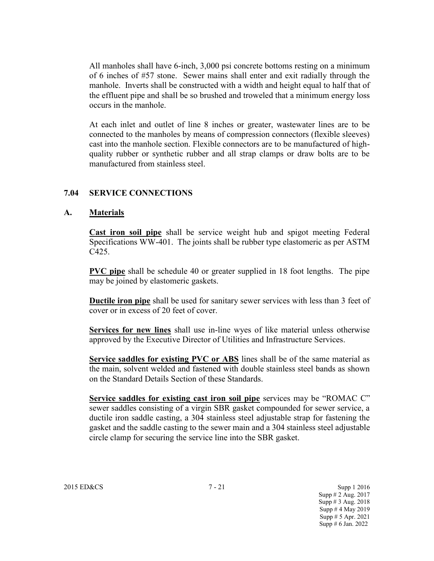All manholes shall have 6-inch, 3,000 psi concrete bottoms resting on a minimum of 6 inches of #57 stone. Sewer mains shall enter and exit radially through the manhole. Inverts shall be constructed with a width and height equal to half that of the effluent pipe and shall be so brushed and troweled that a minimum energy loss occurs in the manhole.

At each inlet and outlet of line 8 inches or greater, wastewater lines are to be connected to the manholes by means of compression connectors (flexible sleeves) cast into the manhole section. Flexible connectors are to be manufactured of highquality rubber or synthetic rubber and all strap clamps or draw bolts are to be manufactured from stainless steel.

#### **7.04 SERVICE CONNECTIONS**

#### **A. Materials**

**Cast iron soil pipe** shall be service weight hub and spigot meeting Federal Specifications WW-401. The joints shall be rubber type elastomeric as per ASTM C425.

**PVC pipe** shall be schedule 40 or greater supplied in 18 foot lengths. The pipe may be joined by elastomeric gaskets.

**Ductile iron pipe** shall be used for sanitary sewer services with less than 3 feet of cover or in excess of 20 feet of cover.

**Services for new lines** shall use in-line wyes of like material unless otherwise approved by the Executive Director of Utilities and Infrastructure Services.

**Service saddles for existing PVC or ABS** lines shall be of the same material as the main, solvent welded and fastened with double stainless steel bands as shown on the Standard Details Section of these Standards.

**Service saddles for existing cast iron soil pipe** services may be "ROMAC C" sewer saddles consisting of a virgin SBR gasket compounded for sewer service, a ductile iron saddle casting, a 304 stainless steel adjustable strap for fastening the gasket and the saddle casting to the sewer main and a 304 stainless steel adjustable circle clamp for securing the service line into the SBR gasket.

2015 ED&CS 7 - 21 Supp 1 2016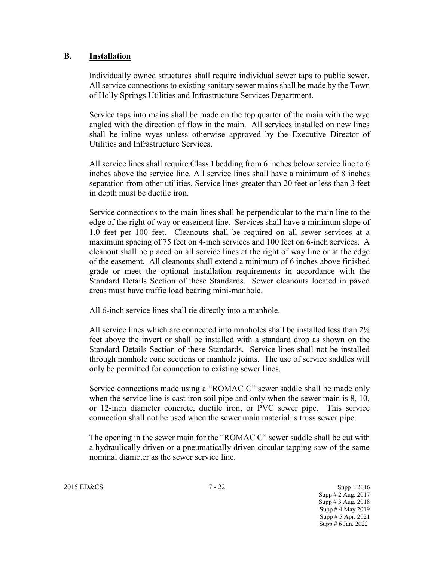### **B. Installation**

Individually owned structures shall require individual sewer taps to public sewer. All service connections to existing sanitary sewer mains shall be made by the Town of Holly Springs Utilities and Infrastructure Services Department.

Service taps into mains shall be made on the top quarter of the main with the wye angled with the direction of flow in the main. All services installed on new lines shall be inline wyes unless otherwise approved by the Executive Director of Utilities and Infrastructure Services.

All service lines shall require Class I bedding from 6 inches below service line to 6 inches above the service line. All service lines shall have a minimum of 8 inches separation from other utilities. Service lines greater than 20 feet or less than 3 feet in depth must be ductile iron.

Service connections to the main lines shall be perpendicular to the main line to the edge of the right of way or easement line. Services shall have a minimum slope of 1.0 feet per 100 feet. Cleanouts shall be required on all sewer services at a maximum spacing of 75 feet on 4-inch services and 100 feet on 6-inch services. A cleanout shall be placed on all service lines at the right of way line or at the edge of the easement. All cleanouts shall extend a minimum of 6 inches above finished grade or meet the optional installation requirements in accordance with the Standard Details Section of these Standards. Sewer cleanouts located in paved areas must have traffic load bearing mini-manhole.

All 6-inch service lines shall tie directly into a manhole.

All service lines which are connected into manholes shall be installed less than 2½ feet above the invert or shall be installed with a standard drop as shown on the Standard Details Section of these Standards. Service lines shall not be installed through manhole cone sections or manhole joints. The use of service saddles will only be permitted for connection to existing sewer lines.

Service connections made using a "ROMAC C" sewer saddle shall be made only when the service line is cast iron soil pipe and only when the sewer main is 8, 10, or 12-inch diameter concrete, ductile iron, or PVC sewer pipe. This service connection shall not be used when the sewer main material is truss sewer pipe.

The opening in the sewer main for the "ROMAC C" sewer saddle shall be cut with a hydraulically driven or a pneumatically driven circular tapping saw of the same nominal diameter as the sewer service line.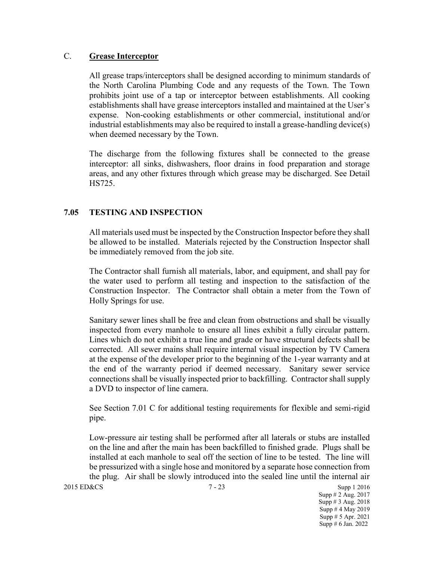### C. **Grease Interceptor**

All grease traps/interceptors shall be designed according to minimum standards of the North Carolina Plumbing Code and any requests of the Town. The Town prohibits joint use of a tap or interceptor between establishments. All cooking establishments shall have grease interceptors installed and maintained at the User's expense. Non-cooking establishments or other commercial, institutional and/or industrial establishments may also be required to install a grease-handling device(s) when deemed necessary by the Town.

The discharge from the following fixtures shall be connected to the grease interceptor: all sinks, dishwashers, floor drains in food preparation and storage areas, and any other fixtures through which grease may be discharged. See Detail HS725.

## **7.05 TESTING AND INSPECTION**

All materials used must be inspected by the Construction Inspector before they shall be allowed to be installed. Materials rejected by the Construction Inspector shall be immediately removed from the job site.

The Contractor shall furnish all materials, labor, and equipment, and shall pay for the water used to perform all testing and inspection to the satisfaction of the Construction Inspector. The Contractor shall obtain a meter from the Town of Holly Springs for use.

Sanitary sewer lines shall be free and clean from obstructions and shall be visually inspected from every manhole to ensure all lines exhibit a fully circular pattern. Lines which do not exhibit a true line and grade or have structural defects shall be corrected. All sewer mains shall require internal visual inspection by TV Camera at the expense of the developer prior to the beginning of the 1-year warranty and at the end of the warranty period if deemed necessary. Sanitary sewer service connections shall be visually inspected prior to backfilling. Contractor shall supply a DVD to inspector of line camera.

See Section 7.01 C for additional testing requirements for flexible and semi-rigid pipe.

Low-pressure air testing shall be performed after all laterals or stubs are installed on the line and after the main has been backfilled to finished grade. Plugs shall be installed at each manhole to seal off the section of line to be tested. The line will be pressurized with a single hose and monitored by a separate hose connection from the plug. Air shall be slowly introduced into the sealed line until the internal air

2015 ED&CS 7 - 23 Supp 1 2016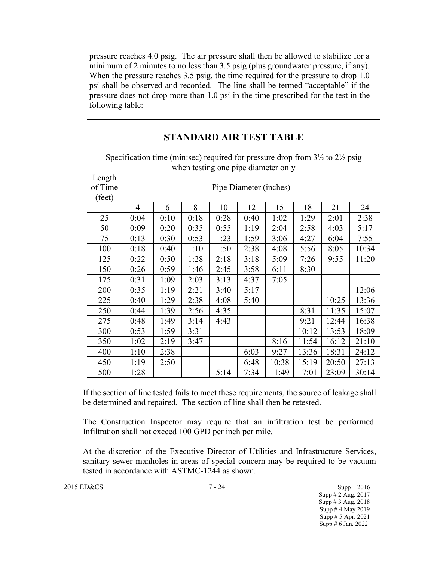pressure reaches 4.0 psig. The air pressure shall then be allowed to stabilize for a minimum of 2 minutes to no less than 3.5 psig (plus groundwater pressure, if any). When the pressure reaches 3.5 psig, the time required for the pressure to drop 1.0 psi shall be observed and recorded. The line shall be termed "acceptable" if the pressure does not drop more than 1.0 psi in the time prescribed for the test in the following table:

| <b>STANDARD AIR TEST TABLE</b> |                                                                                                                                           |                        |      |      |      |       |       |       |       |  |
|--------------------------------|-------------------------------------------------------------------------------------------------------------------------------------------|------------------------|------|------|------|-------|-------|-------|-------|--|
|                                | Specification time (min:sec) required for pressure drop from $3\frac{1}{2}$ to $2\frac{1}{2}$ psig<br>when testing one pipe diameter only |                        |      |      |      |       |       |       |       |  |
| Length<br>of Time<br>(feet)    |                                                                                                                                           | Pipe Diameter (inches) |      |      |      |       |       |       |       |  |
|                                | $\overline{4}$                                                                                                                            | 6                      | 8    | 10   | 12   | 15    | 18    | 21    | 24    |  |
| 25                             | 0:04                                                                                                                                      | 0:10                   | 0:18 | 0:28 | 0:40 | 1:02  | 1:29  | 2:01  | 2:38  |  |
| 50                             | 0:09                                                                                                                                      | 0:20                   | 0:35 | 0:55 | 1:19 | 2:04  | 2:58  | 4:03  | 5:17  |  |
| 75                             | 0:13                                                                                                                                      | 0:30                   | 0:53 | 1:23 | 1:59 | 3:06  | 4:27  | 6:04  | 7:55  |  |
| 100                            | 0:18                                                                                                                                      | 0:40                   | 1:10 | 1:50 | 2:38 | 4:08  | 5:56  | 8:05  | 10:34 |  |
| 125                            | 0:22                                                                                                                                      | 0:50                   | 1:28 | 2:18 | 3:18 | 5:09  | 7:26  | 9:55  | 11:20 |  |
| 150                            | 0:26                                                                                                                                      | 0:59                   | 1:46 | 2:45 | 3:58 | 6:11  | 8:30  |       |       |  |
| 175                            | 0:31                                                                                                                                      | 1:09                   | 2:03 | 3:13 | 4:37 | 7:05  |       |       |       |  |
| 200                            | 0:35                                                                                                                                      | 1:19                   | 2:21 | 3:40 | 5:17 |       |       |       | 12:06 |  |
| 225                            | 0:40                                                                                                                                      | 1:29                   | 2:38 | 4:08 | 5:40 |       |       | 10:25 | 13:36 |  |
| 250                            | 0:44                                                                                                                                      | 1:39                   | 2:56 | 4:35 |      |       | 8:31  | 11:35 | 15:07 |  |
| 275                            | 0:48                                                                                                                                      | 1:49                   | 3:14 | 4:43 |      |       | 9:21  | 12:44 | 16:38 |  |
| 300                            | 0:53                                                                                                                                      | 1:59                   | 3:31 |      |      |       | 10:12 | 13:53 | 18:09 |  |
| 350                            | 1:02                                                                                                                                      | 2:19                   | 3:47 |      |      | 8:16  | 11:54 | 16:12 | 21:10 |  |
| 400                            | 1:10                                                                                                                                      | 2:38                   |      |      | 6:03 | 9:27  | 13:36 | 18:31 | 24:12 |  |
| 450                            | 1:19                                                                                                                                      | 2:50                   |      |      | 6:48 | 10:38 | 15:19 | 20:50 | 27:13 |  |
| 500                            | 1:28                                                                                                                                      |                        |      | 5:14 | 7:34 | 11:49 | 17:01 | 23:09 | 30:14 |  |

If the section of line tested fails to meet these requirements, the source of leakage shall be determined and repaired. The section of line shall then be retested.

The Construction Inspector may require that an infiltration test be performed. Infiltration shall not exceed 100 GPD per inch per mile.

At the discretion of the Executive Director of Utilities and Infrastructure Services, sanitary sewer manholes in areas of special concern may be required to be vacuum tested in accordance with ASTMC-1244 as shown.

2015 ED&CS 3upp 1 2016 Supp # 2 Aug. 2017 Supp # 3 Aug. 2018 Supp # 4 May 2019 Supp # 5 Apr. 2021 Supp # 6 Jan. 2022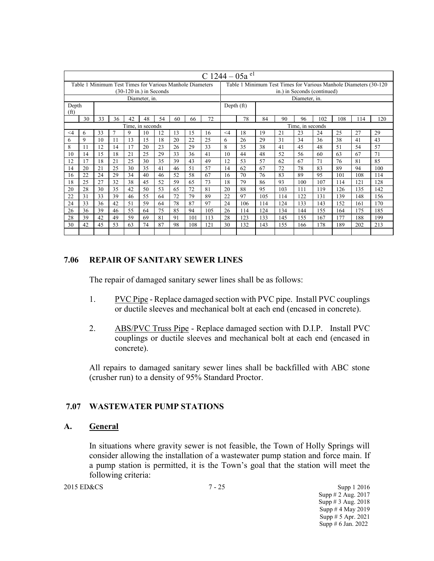|                                                          | C 1244 – 05a el  |    |        |                            |               |    |                                                                   |            |     |          |                  |     |     |                             |     |     |     |     |
|----------------------------------------------------------|------------------|----|--------|----------------------------|---------------|----|-------------------------------------------------------------------|------------|-----|----------|------------------|-----|-----|-----------------------------|-----|-----|-----|-----|
| Table 1 Minimum Test Times for Various Manhole Diameters |                  |    |        |                            |               |    | Table 1 Minimum Test Times for Various Manhole Diameters (30-120) |            |     |          |                  |     |     |                             |     |     |     |     |
|                                                          |                  |    |        | $(30-120)$ in.) in Seconds |               |    |                                                                   |            |     |          |                  |     |     | in.) in Seconds (continued) |     |     |     |     |
|                                                          |                  |    |        |                            | Diameter, in. |    |                                                                   |            |     |          |                  |     |     | Diameter, in.               |     |     |     |     |
| Depth<br>(f <sup>t</sup> )                               |                  |    |        |                            |               |    |                                                                   | Depth (ft) |     |          |                  |     |     |                             |     |     |     |     |
|                                                          | 30               | 33 | 36     | 42                         | 48            | 54 | 60                                                                | 66         | 72  |          | 78               | 84  | 90  | 96                          | 102 | 108 | 114 | 120 |
|                                                          | Time, in seconds |    |        |                            |               |    |                                                                   |            |     |          | Time, in seconds |     |     |                             |     |     |     |     |
| $\leq 4$                                                 | 6                | 33 | $\tau$ | 9                          | 10            | 12 | 13                                                                | 15         | 16  | $\leq 4$ | 18               | 19  | 21  | 23                          | 24  | 25  | 27  | 29  |
| 6                                                        | 9                | 10 | 11     | 13                         | 15            | 18 | 20                                                                | 22         | 25  | 6        | 26               | 29  | 31  | 34                          | 36  | 38  | 41  | 43  |
| 8                                                        | 11               | 12 | 14     | 17                         | 20            | 23 | 26                                                                | 29         | 33  | 8        | 35               | 38  | 41  | 45                          | 48  | 51  | 54  | 57  |
| 10                                                       | 14               | 15 | 18     | 21                         | 25            | 29 | 33                                                                | 36         | 41  | 10       | 44               | 48  | 52  | 56                          | 60  | 63  | 67  | 71  |
| 12                                                       | 17               | 18 | 21     | 25                         | 30            | 35 | 39                                                                | 43         | 49  | 12       | 53               | 57  | 62  | 67                          | 71  | 76  | 81  | 85  |
| 14                                                       | 20               | 21 | 25     | 30                         | 35            | 41 | 46                                                                | 51         | 57  | 14       | 62               | 67  | 72  | 78                          | 83  | 89  | 94  | 100 |
| 16                                                       | 22               | 24 | 29     | 34                         | 40            | 46 | 52                                                                | 58         | 67  | 16       | 70               | 76  | 83  | 89                          | 95  | 101 | 108 | 114 |
| 18                                                       | 25               | 27 | 32     | 38                         | 45            | 52 | 59                                                                | 65         | 73  | 18       | 79               | 86  | 93  | 100                         | 107 | 114 | 121 | 128 |
| 20                                                       | 28               | 30 | 35     | 42                         | 50            | 53 | 65                                                                | 72         | 81  | 20       | 88               | 95  | 103 | 111                         | 119 | 126 | 135 | 142 |
| 22                                                       | 31               | 33 | 39     | 46                         | 55            | 64 | 72                                                                | 79         | 89  | 22       | 97               | 105 | 114 | 122                         | 131 | 139 | 148 | 156 |
| 24                                                       | 33               | 36 | 42     | 51                         | 59            | 64 | 78                                                                | 87         | 97  | 24       | 106              | 114 | 124 | 133                         | 143 | 152 | 161 | 170 |
| 26                                                       | 36               | 39 | 46     | 55                         | 64            | 75 | 85                                                                | 94         | 105 | 26       | 114              | 124 | 134 | 144                         | 155 | 164 | 175 | 185 |
| 28                                                       | 39               | 42 | 49     | 59                         | 69            | 81 | 91                                                                | 101        | 113 | 28       | 123              | 133 | 145 | 155                         | 167 | 177 | 188 | 199 |
| 30                                                       | 42               | 45 | 53     | 63                         | 74            | 87 | 98                                                                | 108        | 121 | 30       | 132              | 143 | 155 | 166                         | 178 | 189 | 202 | 213 |
|                                                          |                  |    |        |                            |               |    |                                                                   |            |     |          |                  |     |     |                             |     |     |     |     |

### **7.06 REPAIR OF SANITARY SEWER LINES**

The repair of damaged sanitary sewer lines shall be as follows:

- 1. PVC Pipe Replace damaged section with PVC pipe. Install PVC couplings or ductile sleeves and mechanical bolt at each end (encased in concrete).
- 2. ABS/PVC Truss Pipe Replace damaged section with D.I.P. Install PVC couplings or ductile sleeves and mechanical bolt at each end (encased in concrete).

All repairs to damaged sanitary sewer lines shall be backfilled with ABC stone (crusher run) to a density of 95% Standard Proctor.

### **7.07 WASTEWATER PUMP STATIONS**

### **A. General**

In situations where gravity sewer is not feasible, the Town of Holly Springs will consider allowing the installation of a wastewater pump station and force main. If a pump station is permitted, it is the Town's goal that the station will meet the following criteria:

2015 ED&CS Supp 1 2016 Supp # 2 Aug. 2017 Supp # 3 Aug. 2018 Supp # 4 May 2019 Supp # 5 Apr. 2021 Supp # 6 Jan. 2022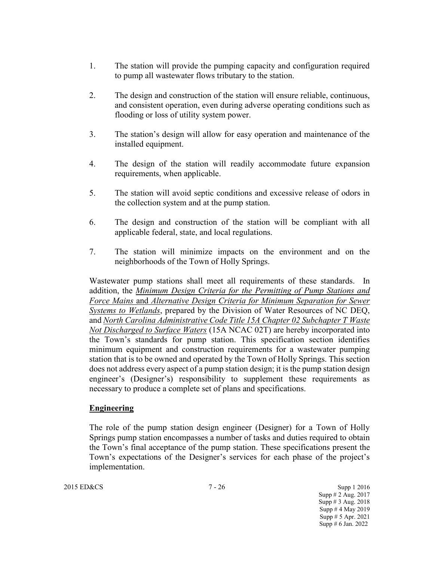- 1. The station will provide the pumping capacity and configuration required to pump all wastewater flows tributary to the station.
- 2. The design and construction of the station will ensure reliable, continuous, and consistent operation, even during adverse operating conditions such as flooding or loss of utility system power.
- 3. The station's design will allow for easy operation and maintenance of the installed equipment.
- 4. The design of the station will readily accommodate future expansion requirements, when applicable.
- 5. The station will avoid septic conditions and excessive release of odors in the collection system and at the pump station.
- 6. The design and construction of the station will be compliant with all applicable federal, state, and local regulations.
- 7. The station will minimize impacts on the environment and on the neighborhoods of the Town of Holly Springs.

Wastewater pump stations shall meet all requirements of these standards. In addition, the *Minimum Design Criteria for the Permitting of Pump Stations and Force Mains* and *Alternative Design Criteria for Minimum Separation for Sewer Systems to Wetlands*, prepared by the Division of Water Resources of NC DEQ, and *North Carolina Administrative Code Title 15A Chapter 02 Subchapter T Waste Not Discharged to Surface Waters* (15A NCAC 02T) are hereby incorporated into the Town's standards for pump station. This specification section identifies minimum equipment and construction requirements for a wastewater pumping station that is to be owned and operated by the Town of Holly Springs. This section does not address every aspect of a pump station design; it is the pump station design engineer's (Designer's) responsibility to supplement these requirements as necessary to produce a complete set of plans and specifications.

## **Engineering**

The role of the pump station design engineer (Designer) for a Town of Holly Springs pump station encompasses a number of tasks and duties required to obtain the Town's final acceptance of the pump station. These specifications present the Town's expectations of the Designer's services for each phase of the project's implementation.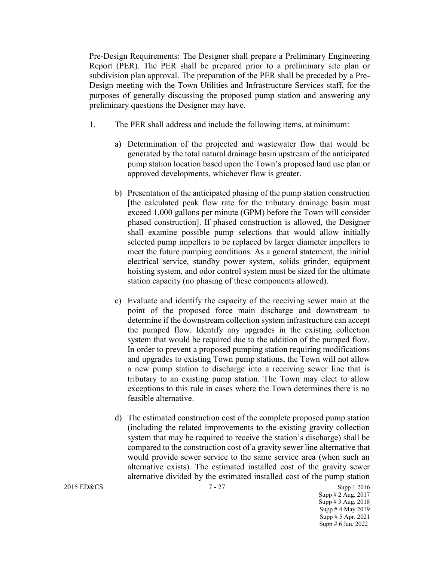Pre-Design Requirements: The Designer shall prepare a Preliminary Engineering Report (PER). The PER shall be prepared prior to a preliminary site plan or subdivision plan approval. The preparation of the PER shall be preceded by a Pre-Design meeting with the Town Utilities and Infrastructure Services staff, for the purposes of generally discussing the proposed pump station and answering any preliminary questions the Designer may have.

- 1. The PER shall address and include the following items, at minimum:
	- a) Determination of the projected and wastewater flow that would be generated by the total natural drainage basin upstream of the anticipated pump station location based upon the Town's proposed land use plan or approved developments, whichever flow is greater.
	- b) Presentation of the anticipated phasing of the pump station construction [the calculated peak flow rate for the tributary drainage basin must exceed 1,000 gallons per minute (GPM) before the Town will consider phased construction]. If phased construction is allowed, the Designer shall examine possible pump selections that would allow initially selected pump impellers to be replaced by larger diameter impellers to meet the future pumping conditions. As a general statement, the initial electrical service, standby power system, solids grinder, equipment hoisting system, and odor control system must be sized for the ultimate station capacity (no phasing of these components allowed).
	- c) Evaluate and identify the capacity of the receiving sewer main at the point of the proposed force main discharge and downstream to determine if the downstream collection system infrastructure can accept the pumped flow. Identify any upgrades in the existing collection system that would be required due to the addition of the pumped flow. In order to prevent a proposed pumping station requiring modifications and upgrades to existing Town pump stations, the Town will not allow a new pump station to discharge into a receiving sewer line that is tributary to an existing pump station. The Town may elect to allow exceptions to this rule in cases where the Town determines there is no feasible alternative.
	- d) The estimated construction cost of the complete proposed pump station (including the related improvements to the existing gravity collection system that may be required to receive the station's discharge) shall be compared to the construction cost of a gravity sewer line alternative that would provide sewer service to the same service area (when such an alternative exists). The estimated installed cost of the gravity sewer alternative divided by the estimated installed cost of the pump station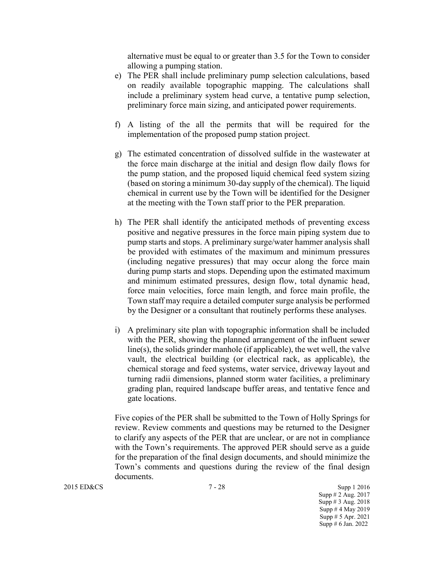alternative must be equal to or greater than 3.5 for the Town to consider allowing a pumping station.

- e) The PER shall include preliminary pump selection calculations, based on readily available topographic mapping. The calculations shall include a preliminary system head curve, a tentative pump selection, preliminary force main sizing, and anticipated power requirements.
- f) A listing of the all the permits that will be required for the implementation of the proposed pump station project.
- g) The estimated concentration of dissolved sulfide in the wastewater at the force main discharge at the initial and design flow daily flows for the pump station, and the proposed liquid chemical feed system sizing (based on storing a minimum 30-day supply of the chemical). The liquid chemical in current use by the Town will be identified for the Designer at the meeting with the Town staff prior to the PER preparation.
- h) The PER shall identify the anticipated methods of preventing excess positive and negative pressures in the force main piping system due to pump starts and stops. A preliminary surge/water hammer analysis shall be provided with estimates of the maximum and minimum pressures (including negative pressures) that may occur along the force main during pump starts and stops. Depending upon the estimated maximum and minimum estimated pressures, design flow, total dynamic head, force main velocities, force main length, and force main profile, the Town staff may require a detailed computer surge analysis be performed by the Designer or a consultant that routinely performs these analyses.
- i) A preliminary site plan with topographic information shall be included with the PER, showing the planned arrangement of the influent sewer line(s), the solids grinder manhole (if applicable), the wet well, the valve vault, the electrical building (or electrical rack, as applicable), the chemical storage and feed systems, water service, driveway layout and turning radii dimensions, planned storm water facilities, a preliminary grading plan, required landscape buffer areas, and tentative fence and gate locations.

Five copies of the PER shall be submitted to the Town of Holly Springs for review. Review comments and questions may be returned to the Designer to clarify any aspects of the PER that are unclear, or are not in compliance with the Town's requirements. The approved PER should serve as a guide for the preparation of the final design documents, and should minimize the Town's comments and questions during the review of the final design documents.

2015 ED&CS 3upp 1 2016 Supp # 2 Aug. 2017 Supp # 3 Aug. 2018 Supp # 4 May 2019 Supp # 5 Apr. 2021 Supp # 6 Jan. 2022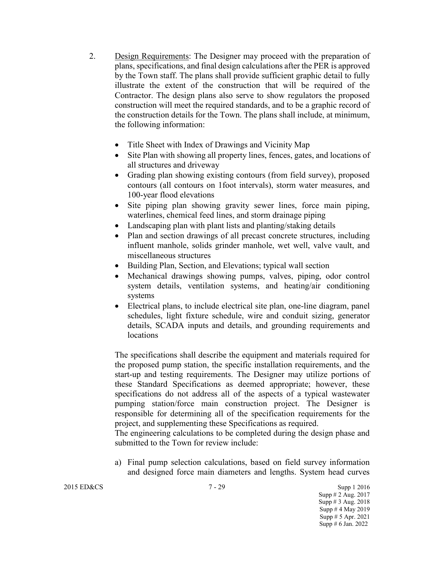- 2. Design Requirements: The Designer may proceed with the preparation of plans, specifications, and final design calculations after the PER is approved by the Town staff. The plans shall provide sufficient graphic detail to fully illustrate the extent of the construction that will be required of the Contractor. The design plans also serve to show regulators the proposed construction will meet the required standards, and to be a graphic record of the construction details for the Town. The plans shall include, at minimum, the following information:
	- Title Sheet with Index of Drawings and Vicinity Map
	- Site Plan with showing all property lines, fences, gates, and locations of all structures and driveway
	- Grading plan showing existing contours (from field survey), proposed contours (all contours on 1foot intervals), storm water measures, and 100-year flood elevations
	- Site piping plan showing gravity sewer lines, force main piping, waterlines, chemical feed lines, and storm drainage piping
	- Landscaping plan with plant lists and planting/staking details
	- Plan and section drawings of all precast concrete structures, including influent manhole, solids grinder manhole, wet well, valve vault, and miscellaneous structures
	- Building Plan, Section, and Elevations; typical wall section
	- Mechanical drawings showing pumps, valves, piping, odor control system details, ventilation systems, and heating/air conditioning systems
	- Electrical plans, to include electrical site plan, one-line diagram, panel schedules, light fixture schedule, wire and conduit sizing, generator details, SCADA inputs and details, and grounding requirements and locations

The specifications shall describe the equipment and materials required for the proposed pump station, the specific installation requirements, and the start-up and testing requirements. The Designer may utilize portions of these Standard Specifications as deemed appropriate; however, these specifications do not address all of the aspects of a typical wastewater pumping station/force main construction project. The Designer is responsible for determining all of the specification requirements for the project, and supplementing these Specifications as required.

The engineering calculations to be completed during the design phase and submitted to the Town for review include:

a) Final pump selection calculations, based on field survey information and designed force main diameters and lengths. System head curves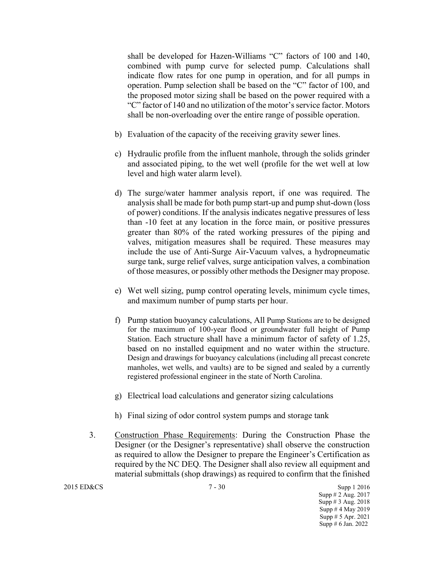shall be developed for Hazen-Williams "C" factors of 100 and 140, combined with pump curve for selected pump. Calculations shall indicate flow rates for one pump in operation, and for all pumps in operation. Pump selection shall be based on the "C" factor of 100, and the proposed motor sizing shall be based on the power required with a "C" factor of 140 and no utilization of the motor's service factor. Motors shall be non-overloading over the entire range of possible operation.

- b) Evaluation of the capacity of the receiving gravity sewer lines.
- c) Hydraulic profile from the influent manhole, through the solids grinder and associated piping, to the wet well (profile for the wet well at low level and high water alarm level).
- d) The surge/water hammer analysis report, if one was required. The analysis shall be made for both pump start-up and pump shut-down (loss of power) conditions. If the analysis indicates negative pressures of less than -10 feet at any location in the force main, or positive pressures greater than 80% of the rated working pressures of the piping and valves, mitigation measures shall be required. These measures may include the use of Anti-Surge Air-Vacuum valves, a hydropneumatic surge tank, surge relief valves, surge anticipation valves, a combination of those measures, or possibly other methods the Designer may propose.
- e) Wet well sizing, pump control operating levels, minimum cycle times, and maximum number of pump starts per hour.
- f) Pump station buoyancy calculations, All Pump Stations are to be designed for the maximum of 100-year flood or groundwater full height of Pump Station. Each structure shall have a minimum factor of safety of 1.25, based on no installed equipment and no water within the structure. Design and drawings for buoyancy calculations (including all precast concrete manholes, wet wells, and vaults) are to be signed and sealed by a currently registered professional engineer in the state of North Carolina.
- g) Electrical load calculations and generator sizing calculations
- h) Final sizing of odor control system pumps and storage tank
- 3. Construction Phase Requirements: During the Construction Phase the Designer (or the Designer's representative) shall observe the construction as required to allow the Designer to prepare the Engineer's Certification as required by the NC DEQ. The Designer shall also review all equipment and material submittals (shop drawings) as required to confirm that the finished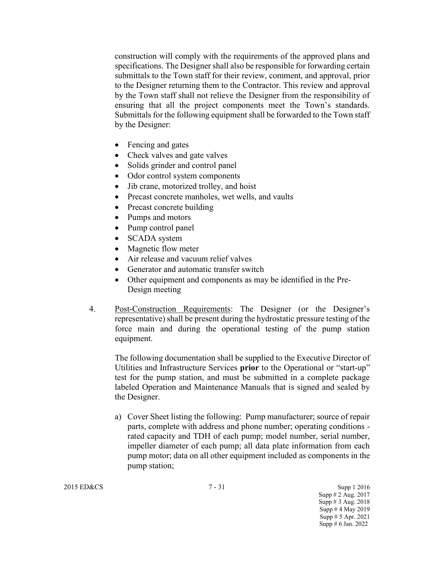construction will comply with the requirements of the approved plans and specifications. The Designer shall also be responsible for forwarding certain submittals to the Town staff for their review, comment, and approval, prior to the Designer returning them to the Contractor. This review and approval by the Town staff shall not relieve the Designer from the responsibility of ensuring that all the project components meet the Town's standards. Submittals for the following equipment shall be forwarded to the Town staff by the Designer:

- Fencing and gates
- Check valves and gate valves
- Solids grinder and control panel
- Odor control system components
- Jib crane, motorized trolley, and hoist
- Precast concrete manholes, wet wells, and vaults
- Precast concrete building
- Pumps and motors
- Pump control panel
- **SCADA** system
- Magnetic flow meter
- Air release and vacuum relief valves
- Generator and automatic transfer switch
- Other equipment and components as may be identified in the Pre-Design meeting
- 4. Post-Construction Requirements: The Designer (or the Designer's representative) shall be present during the hydrostatic pressure testing of the force main and during the operational testing of the pump station equipment.

The following documentation shall be supplied to the Executive Director of Utilities and Infrastructure Services **prior** to the Operational or "start-up" test for the pump station, and must be submitted in a complete package labeled Operation and Maintenance Manuals that is signed and sealed by the Designer.

a) Cover Sheet listing the following: Pump manufacturer; source of repair parts, complete with address and phone number; operating conditions rated capacity and TDH of each pump; model number, serial number, impeller diameter of each pump; all data plate information from each pump motor; data on all other equipment included as components in the pump station;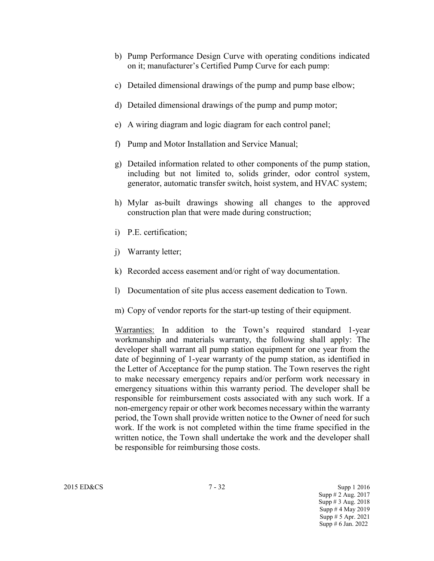- b) Pump Performance Design Curve with operating conditions indicated on it; manufacturer's Certified Pump Curve for each pump:
- c) Detailed dimensional drawings of the pump and pump base elbow;
- d) Detailed dimensional drawings of the pump and pump motor;
- e) A wiring diagram and logic diagram for each control panel;
- f) Pump and Motor Installation and Service Manual;
- g) Detailed information related to other components of the pump station, including but not limited to, solids grinder, odor control system, generator, automatic transfer switch, hoist system, and HVAC system;
- h) Mylar as-built drawings showing all changes to the approved construction plan that were made during construction;
- i) P.E. certification;
- j) Warranty letter;
- k) Recorded access easement and/or right of way documentation.
- l) Documentation of site plus access easement dedication to Town.
- m) Copy of vendor reports for the start-up testing of their equipment.

Warranties: In addition to the Town's required standard 1-year workmanship and materials warranty, the following shall apply: The developer shall warrant all pump station equipment for one year from the date of beginning of 1-year warranty of the pump station, as identified in the Letter of Acceptance for the pump station. The Town reserves the right to make necessary emergency repairs and/or perform work necessary in emergency situations within this warranty period. The developer shall be responsible for reimbursement costs associated with any such work. If a non-emergency repair or other work becomes necessary within the warranty period, the Town shall provide written notice to the Owner of need for such work. If the work is not completed within the time frame specified in the written notice, the Town shall undertake the work and the developer shall be responsible for reimbursing those costs.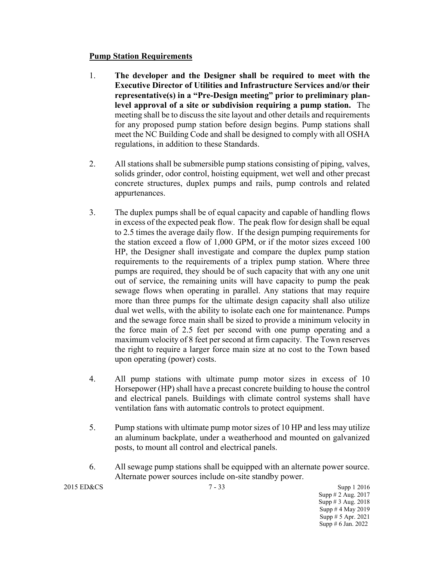### **Pump Station Requirements**

- 1. **The developer and the Designer shall be required to meet with the Executive Director of Utilities and Infrastructure Services and/or their representative(s) in a "Pre-Design meeting" prior to preliminary planlevel approval of a site or subdivision requiring a pump station.** The meeting shall be to discuss the site layout and other details and requirements for any proposed pump station before design begins. Pump stations shall meet the NC Building Code and shall be designed to comply with all OSHA regulations, in addition to these Standards.
- 2. All stations shall be submersible pump stations consisting of piping, valves, solids grinder, odor control, hoisting equipment, wet well and other precast concrete structures, duplex pumps and rails, pump controls and related appurtenances.
- 3. The duplex pumps shall be of equal capacity and capable of handling flows in excess of the expected peak flow. The peak flow for design shall be equal to 2.5 times the average daily flow. If the design pumping requirements for the station exceed a flow of 1,000 GPM, or if the motor sizes exceed 100 HP, the Designer shall investigate and compare the duplex pump station requirements to the requirements of a triplex pump station. Where three pumps are required, they should be of such capacity that with any one unit out of service, the remaining units will have capacity to pump the peak sewage flows when operating in parallel. Any stations that may require more than three pumps for the ultimate design capacity shall also utilize dual wet wells, with the ability to isolate each one for maintenance. Pumps and the sewage force main shall be sized to provide a minimum velocity in the force main of 2.5 feet per second with one pump operating and a maximum velocity of 8 feet per second at firm capacity. The Town reserves the right to require a larger force main size at no cost to the Town based upon operating (power) costs.
- 4. All pump stations with ultimate pump motor sizes in excess of 10 Horsepower (HP) shall have a precast concrete building to house the control and electrical panels. Buildings with climate control systems shall have ventilation fans with automatic controls to protect equipment.
- 5. Pump stations with ultimate pump motor sizes of 10 HP and less may utilize an aluminum backplate, under a weatherhood and mounted on galvanized posts, to mount all control and electrical panels.
- 6. All sewage pump stations shall be equipped with an alternate power source. Alternate power sources include on-site standby power.

2015 ED&CS 7 - 33 Supp 1 2016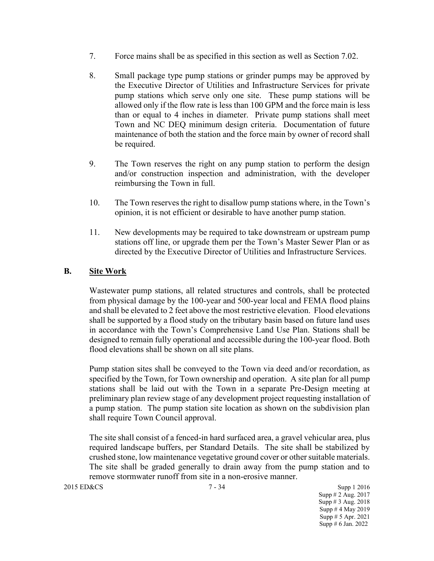- 7. Force mains shall be as specified in this section as well as Section 7.02.
- 8. Small package type pump stations or grinder pumps may be approved by the Executive Director of Utilities and Infrastructure Services for private pump stations which serve only one site. These pump stations will be allowed only if the flow rate is less than 100 GPM and the force main is less than or equal to 4 inches in diameter. Private pump stations shall meet Town and NC DEQ minimum design criteria. Documentation of future maintenance of both the station and the force main by owner of record shall be required.
- 9. The Town reserves the right on any pump station to perform the design and/or construction inspection and administration, with the developer reimbursing the Town in full.
- 10. The Town reserves the right to disallow pump stations where, in the Town's opinion, it is not efficient or desirable to have another pump station.
- 11. New developments may be required to take downstream or upstream pump stations off line, or upgrade them per the Town's Master Sewer Plan or as directed by the Executive Director of Utilities and Infrastructure Services.

## **B. Site Work**

Wastewater pump stations, all related structures and controls, shall be protected from physical damage by the 100-year and 500-year local and FEMA flood plains and shall be elevated to 2 feet above the most restrictive elevation. Flood elevations shall be supported by a flood study on the tributary basin based on future land uses in accordance with the Town's Comprehensive Land Use Plan. Stations shall be designed to remain fully operational and accessible during the 100-year flood. Both flood elevations shall be shown on all site plans.

Pump station sites shall be conveyed to the Town via deed and/or recordation, as specified by the Town, for Town ownership and operation. A site plan for all pump stations shall be laid out with the Town in a separate Pre-Design meeting at preliminary plan review stage of any development project requesting installation of a pump station. The pump station site location as shown on the subdivision plan shall require Town Council approval.

The site shall consist of a fenced-in hard surfaced area, a gravel vehicular area, plus required landscape buffers, per Standard Details. The site shall be stabilized by crushed stone, low maintenance vegetative ground cover or other suitable materials. The site shall be graded generally to drain away from the pump station and to remove stormwater runoff from site in a non-erosive manner.

2015 ED&CS 7 - 34 Supp 1 2016

Supp # 2 Aug. 2017 Supp # 3 Aug. 2018 Supp # 4 May 2019 Supp # 5 Apr. 2021 Supp # 6 Jan. 2022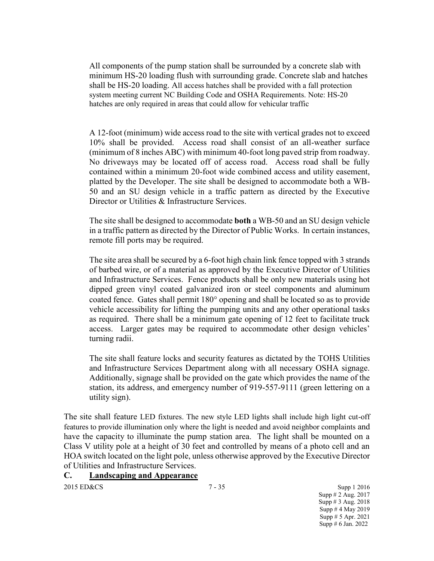All components of the pump station shall be surrounded by a concrete slab with minimum HS-20 loading flush with surrounding grade. Concrete slab and hatches shall be HS-20 loading. All access hatches shall be provided with a fall protection system meeting current NC Building Code and OSHA Requirements. Note: HS-20 hatches are only required in areas that could allow for vehicular traffic

A 12-foot (minimum) wide access road to the site with vertical grades not to exceed 10% shall be provided. Access road shall consist of an all-weather surface (minimum of 8 inches ABC) with minimum 40-foot long paved strip from roadway. No driveways may be located off of access road. Access road shall be fully contained within a minimum 20-foot wide combined access and utility easement, platted by the Developer. The site shall be designed to accommodate both a WB-50 and an SU design vehicle in a traffic pattern as directed by the Executive Director or Utilities & Infrastructure Services.

The site shall be designed to accommodate **both** a WB-50 and an SU design vehicle in a traffic pattern as directed by the Director of Public Works. In certain instances, remote fill ports may be required.

The site area shall be secured by a 6-foot high chain link fence topped with 3 strands of barbed wire, or of a material as approved by the Executive Director of Utilities and Infrastructure Services. Fence products shall be only new materials using hot dipped green vinyl coated galvanized iron or steel components and aluminum coated fence. Gates shall permit 180° opening and shall be located so as to provide vehicle accessibility for lifting the pumping units and any other operational tasks as required. There shall be a minimum gate opening of 12 feet to facilitate truck access. Larger gates may be required to accommodate other design vehicles' turning radii.

The site shall feature locks and security features as dictated by the TOHS Utilities and Infrastructure Services Department along with all necessary OSHA signage. Additionally, signage shall be provided on the gate which provides the name of the station, its address, and emergency number of 919-557-9111 (green lettering on a utility sign).

The site shall feature LED fixtures. The new style LED lights shall include high light cut-off features to provide illumination only where the light is needed and avoid neighbor complaints and have the capacity to illuminate the pump station area. The light shall be mounted on a Class V utility pole at a height of 30 feet and controlled by means of a photo cell and an HOA switch located on the light pole, unless otherwise approved by the Executive Director of Utilities and Infrastructure Services.

## **C. Landscaping and Appearance**

2015 ED&CS Supp 1 2016 Supp # 2 Aug. 2017 Supp # 3 Aug. 2018 Supp # 4 May 2019 Supp # 5 Apr. 2021 Supp # 6 Jan. 2022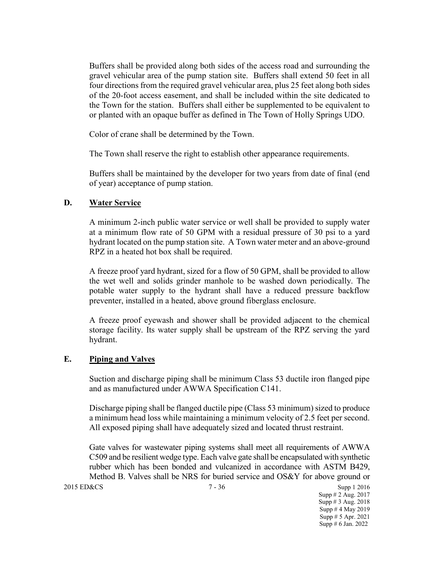Buffers shall be provided along both sides of the access road and surrounding the gravel vehicular area of the pump station site. Buffers shall extend 50 feet in all four directions from the required gravel vehicular area, plus 25 feet along both sides of the 20-foot access easement, and shall be included within the site dedicated to the Town for the station. Buffers shall either be supplemented to be equivalent to or planted with an opaque buffer as defined in The Town of Holly Springs UDO.

Color of crane shall be determined by the Town.

The Town shall reserve the right to establish other appearance requirements.

Buffers shall be maintained by the developer for two years from date of final (end of year) acceptance of pump station.

### **D. Water Service**

A minimum 2-inch public water service or well shall be provided to supply water at a minimum flow rate of 50 GPM with a residual pressure of 30 psi to a yard hydrant located on the pump station site. A Town water meter and an above-ground RPZ in a heated hot box shall be required.

A freeze proof yard hydrant, sized for a flow of 50 GPM, shall be provided to allow the wet well and solids grinder manhole to be washed down periodically. The potable water supply to the hydrant shall have a reduced pressure backflow preventer, installed in a heated, above ground fiberglass enclosure.

A freeze proof eyewash and shower shall be provided adjacent to the chemical storage facility. Its water supply shall be upstream of the RPZ serving the yard hydrant.

#### **E. Piping and Valves**

Suction and discharge piping shall be minimum Class 53 ductile iron flanged pipe and as manufactured under AWWA Specification C141.

Discharge piping shall be flanged ductile pipe (Class 53 minimum) sized to produce a minimum head loss while maintaining a minimum velocity of 2.5 feet per second. All exposed piping shall have adequately sized and located thrust restraint.

Gate valves for wastewater piping systems shall meet all requirements of AWWA C509 and be resilient wedge type. Each valve gate shall be encapsulated with synthetic rubber which has been bonded and vulcanized in accordance with ASTM B429, Method B. Valves shall be NRS for buried service and OS&Y for above ground or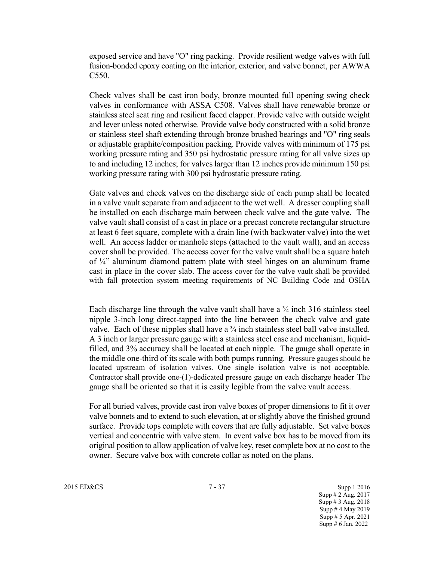exposed service and have "O" ring packing. Provide resilient wedge valves with full fusion-bonded epoxy coating on the interior, exterior, and valve bonnet, per AWWA C550.

Check valves shall be cast iron body, bronze mounted full opening swing check valves in conformance with ASSA C508. Valves shall have renewable bronze or stainless steel seat ring and resilient faced clapper. Provide valve with outside weight and lever unless noted otherwise. Provide valve body constructed with a solid bronze or stainless steel shaft extending through bronze brushed bearings and "O" ring seals or adjustable graphite/composition packing. Provide valves with minimum of 175 psi working pressure rating and 350 psi hydrostatic pressure rating for all valve sizes up to and including 12 inches; for valves larger than 12 inches provide minimum 150 psi working pressure rating with 300 psi hydrostatic pressure rating.

Gate valves and check valves on the discharge side of each pump shall be located in a valve vault separate from and adjacent to the wet well. A dresser coupling shall be installed on each discharge main between check valve and the gate valve. The valve vault shall consist of a cast in place or a precast concrete rectangular structure at least 6 feet square, complete with a drain line (with backwater valve) into the wet well. An access ladder or manhole steps (attached to the vault wall), and an access cover shall be provided. The access cover for the valve vault shall be a square hatch of ¼" aluminum diamond pattern plate with steel hinges on an aluminum frame cast in place in the cover slab. The access cover for the valve vault shall be provided with fall protection system meeting requirements of NC Building Code and OSHA

Each discharge line through the valve vault shall have a <sup>3</sup>/<sub>4</sub> inch 316 stainless steel nipple 3-inch long direct-tapped into the line between the check valve and gate valve. Each of these nipples shall have a  $\frac{3}{4}$  inch stainless steel ball valve installed. A 3 inch or larger pressure gauge with a stainless steel case and mechanism, liquidfilled, and 3% accuracy shall be located at each nipple. The gauge shall operate in the middle one-third of its scale with both pumps running. Pressure gauges should be located upstream of isolation valves. One single isolation valve is not acceptable. Contractor shall provide one-(1)-dedicated pressure gauge on each discharge header The gauge shall be oriented so that it is easily legible from the valve vault access.

For all buried valves, provide cast iron valve boxes of proper dimensions to fit it over valve bonnets and to extend to such elevation, at or slightly above the finished ground surface. Provide tops complete with covers that are fully adjustable. Set valve boxes vertical and concentric with valve stem. In event valve box has to be moved from its original position to allow application of valve key, reset complete box at no cost to the owner. Secure valve box with concrete collar as noted on the plans.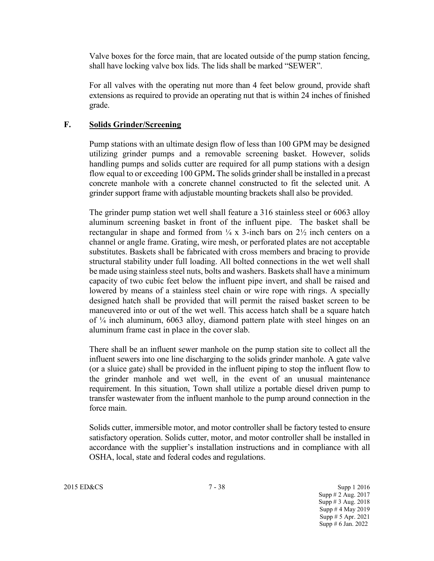Valve boxes for the force main, that are located outside of the pump station fencing, shall have locking valve box lids. The lids shall be marked "SEWER".

For all valves with the operating nut more than 4 feet below ground, provide shaft extensions as required to provide an operating nut that is within 24 inches of finished grade.

### **F. Solids Grinder/Screening**

Pump stations with an ultimate design flow of less than 100 GPM may be designed utilizing grinder pumps and a removable screening basket. However, solids handling pumps and solids cutter are required for all pump stations with a design flow equal to or exceeding 100 GPM**.** The solids grinder shall be installed in a precast concrete manhole with a concrete channel constructed to fit the selected unit. A grinder support frame with adjustable mounting brackets shall also be provided.

The grinder pump station wet well shall feature a 316 stainless steel or 6063 alloy aluminum screening basket in front of the influent pipe. The basket shall be rectangular in shape and formed from  $\frac{1}{4}$  x 3-inch bars on  $2\frac{1}{2}$  inch centers on a channel or angle frame. Grating, wire mesh, or perforated plates are not acceptable substitutes. Baskets shall be fabricated with cross members and bracing to provide structural stability under full loading. All bolted connections in the wet well shall be made using stainless steel nuts, bolts and washers. Baskets shall have a minimum capacity of two cubic feet below the influent pipe invert, and shall be raised and lowered by means of a stainless steel chain or wire rope with rings. A specially designed hatch shall be provided that will permit the raised basket screen to be maneuvered into or out of the wet well. This access hatch shall be a square hatch of ¼ inch aluminum, 6063 alloy, diamond pattern plate with steel hinges on an aluminum frame cast in place in the cover slab.

There shall be an influent sewer manhole on the pump station site to collect all the influent sewers into one line discharging to the solids grinder manhole. A gate valve (or a sluice gate) shall be provided in the influent piping to stop the influent flow to the grinder manhole and wet well, in the event of an unusual maintenance requirement. In this situation, Town shall utilize a portable diesel driven pump to transfer wastewater from the influent manhole to the pump around connection in the force main.

Solids cutter, immersible motor, and motor controller shall be factory tested to ensure satisfactory operation. Solids cutter, motor, and motor controller shall be installed in accordance with the supplier's installation instructions and in compliance with all OSHA, local, state and federal codes and regulations.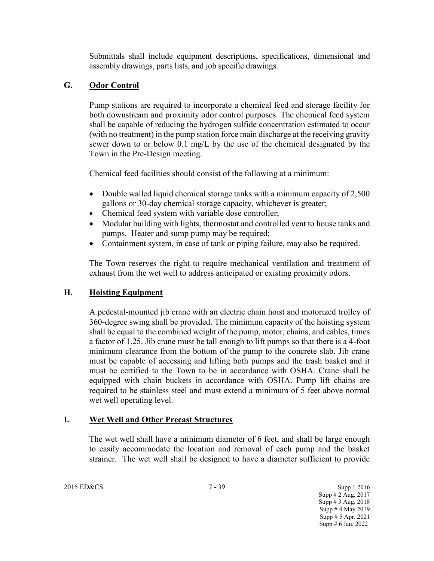Submittals shall include equipment descriptions, specifications, dimensional and assembly drawings, parts lists, and job specific drawings.

## **G. Odor Control**

Pump stations are required to incorporate a chemical feed and storage facility for both downstream and proximity odor control purposes. The chemical feed system shall be capable of reducing the hydrogen sulfide concentration estimated to occur (with no treatment) in the pump station force main discharge at the receiving gravity sewer down to or below 0.1 mg/L by the use of the chemical designated by the Town in the Pre-Design meeting.

Chemical feed facilities should consist of the following at a minimum:

- Double walled liquid chemical storage tanks with a minimum capacity of 2,500 gallons or 30-day chemical storage capacity, whichever is greater;
- Chemical feed system with variable dose controller;
- Modular building with lights, thermostat and controlled vent to house tanks and pumps. Heater and sump pump may be required;
- Containment system, in case of tank or piping failure, may also be required.

The Town reserves the right to require mechanical ventilation and treatment of exhaust from the wet well to address anticipated or existing proximity odors.

## **H. Hoisting Equipment**

A pedestal-mounted jib crane with an electric chain hoist and motorized trolley of 360-degree swing shall be provided. The minimum capacity of the hoisting system shall be equal to the combined weight of the pump, motor, chains, and cables, times a factor of 1.25. Jib crane must be tall enough to lift pumps so that there is a 4-foot minimum clearance from the bottom of the pump to the concrete slab. Jib crane must be capable of accessing and lifting both pumps and the trash basket and it must be certified to the Town to be in accordance with OSHA. Crane shall be equipped with chain buckets in accordance with OSHA. Pump lift chains are required to be stainless steel and must extend a minimum of 5 feet above normal wet well operating level.

## **I. Wet Well and Other Precast Structures**

The wet well shall have a minimum diameter of 6 feet, and shall be large enough to easily accommodate the location and removal of each pump and the basket strainer. The wet well shall be designed to have a diameter sufficient to provide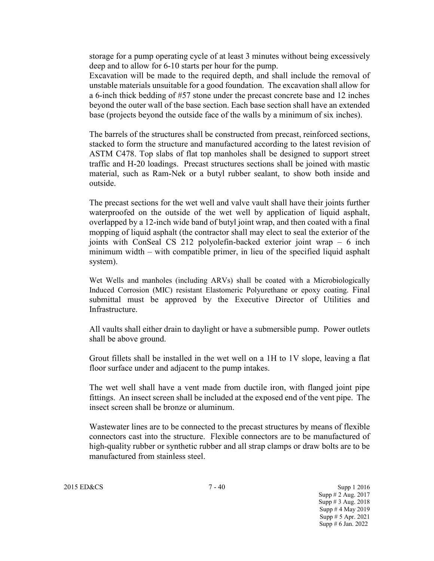storage for a pump operating cycle of at least 3 minutes without being excessively deep and to allow for 6-10 starts per hour for the pump.

Excavation will be made to the required depth, and shall include the removal of unstable materials unsuitable for a good foundation. The excavation shall allow for a 6-inch thick bedding of #57 stone under the precast concrete base and 12 inches beyond the outer wall of the base section. Each base section shall have an extended base (projects beyond the outside face of the walls by a minimum of six inches).

The barrels of the structures shall be constructed from precast, reinforced sections, stacked to form the structure and manufactured according to the latest revision of ASTM C478. Top slabs of flat top manholes shall be designed to support street traffic and H-20 loadings. Precast structures sections shall be joined with mastic material, such as Ram-Nek or a butyl rubber sealant, to show both inside and outside.

The precast sections for the wet well and valve vault shall have their joints further waterproofed on the outside of the wet well by application of liquid asphalt, overlapped by a 12-inch wide band of butyl joint wrap, and then coated with a final mopping of liquid asphalt (the contractor shall may elect to seal the exterior of the joints with ConSeal CS 212 polyolefin-backed exterior joint wrap – 6 inch minimum width – with compatible primer, in lieu of the specified liquid asphalt system).

Wet Wells and manholes (including ARVs) shall be coated with a Microbiologically Induced Corrosion (MIC) resistant Elastomeric Polyurethane or epoxy coating. Final submittal must be approved by the Executive Director of Utilities and Infrastructure.

All vaults shall either drain to daylight or have a submersible pump. Power outlets shall be above ground.

Grout fillets shall be installed in the wet well on a 1H to 1V slope, leaving a flat floor surface under and adjacent to the pump intakes.

The wet well shall have a vent made from ductile iron, with flanged joint pipe fittings. An insect screen shall be included at the exposed end of the vent pipe. The insect screen shall be bronze or aluminum.

Wastewater lines are to be connected to the precast structures by means of flexible connectors cast into the structure. Flexible connectors are to be manufactured of high-quality rubber or synthetic rubber and all strap clamps or draw bolts are to be manufactured from stainless steel.

2015 ED&CS 7 - 40 Supp 1 2016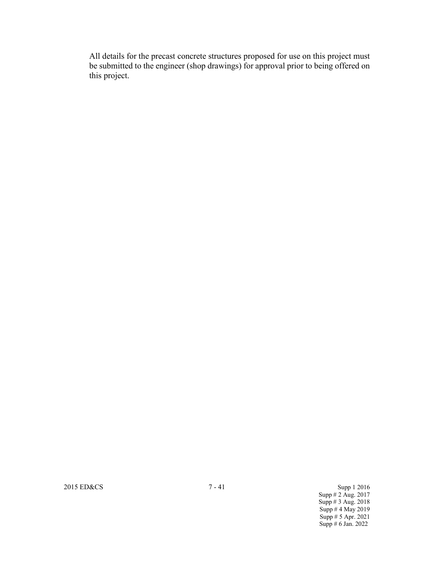All details for the precast concrete structures proposed for use on this project must be submitted to the engineer (shop drawings) for approval prior to being offered on this project.

2015 ED&CS 3 and 2016 7 - 41 Supp 1 2016

Supp # 2 Aug. 2017 Supp # 3 Aug. 2018 Supp # 4 May 2019 Supp # 5 Apr. 2021 Supp # 6 Jan. 2022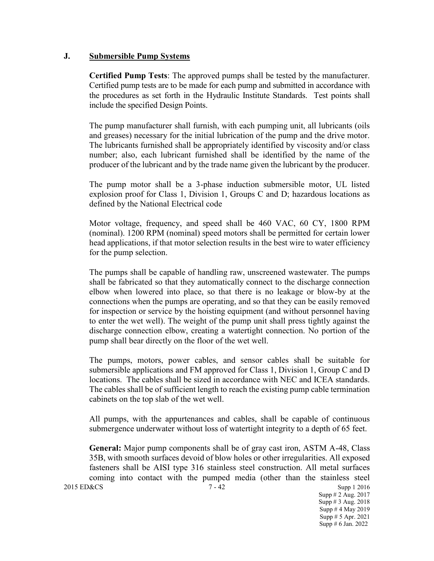### **J. Submersible Pump Systems**

**Certified Pump Tests**: The approved pumps shall be tested by the manufacturer. Certified pump tests are to be made for each pump and submitted in accordance with the procedures as set forth in the Hydraulic Institute Standards. Test points shall include the specified Design Points.

The pump manufacturer shall furnish, with each pumping unit, all lubricants (oils and greases) necessary for the initial lubrication of the pump and the drive motor. The lubricants furnished shall be appropriately identified by viscosity and/or class number; also, each lubricant furnished shall be identified by the name of the producer of the lubricant and by the trade name given the lubricant by the producer.

The pump motor shall be a 3-phase induction submersible motor, UL listed explosion proof for Class 1, Division 1, Groups C and D; hazardous locations as defined by the National Electrical code

Motor voltage, frequency, and speed shall be 460 VAC, 60 CY, 1800 RPM (nominal). 1200 RPM (nominal) speed motors shall be permitted for certain lower head applications, if that motor selection results in the best wire to water efficiency for the pump selection.

The pumps shall be capable of handling raw, unscreened wastewater. The pumps shall be fabricated so that they automatically connect to the discharge connection elbow when lowered into place, so that there is no leakage or blow-by at the connections when the pumps are operating, and so that they can be easily removed for inspection or service by the hoisting equipment (and without personnel having to enter the wet well). The weight of the pump unit shall press tightly against the discharge connection elbow, creating a watertight connection. No portion of the pump shall bear directly on the floor of the wet well.

The pumps, motors, power cables, and sensor cables shall be suitable for submersible applications and FM approved for Class 1, Division 1, Group C and D locations. The cables shall be sized in accordance with NEC and ICEA standards. The cables shall be of sufficient length to reach the existing pump cable termination cabinets on the top slab of the wet well.

All pumps, with the appurtenances and cables, shall be capable of continuous submergence underwater without loss of watertight integrity to a depth of 65 feet.

2015 ED&CS 7 - 42 Supp 1 2016 Supp # 2 Aug. 2017 Supp # 3 Aug. 2018 **General:** Major pump components shall be of gray cast iron, ASTM A-48, Class 35B, with smooth surfaces devoid of blow holes or other irregularities. All exposed fasteners shall be AISI type 316 stainless steel construction. All metal surfaces coming into contact with the pumped media (other than the stainless steel

Supp # 4 May 2019 Supp # 5 Apr. 2021 Supp # 6 Jan. 2022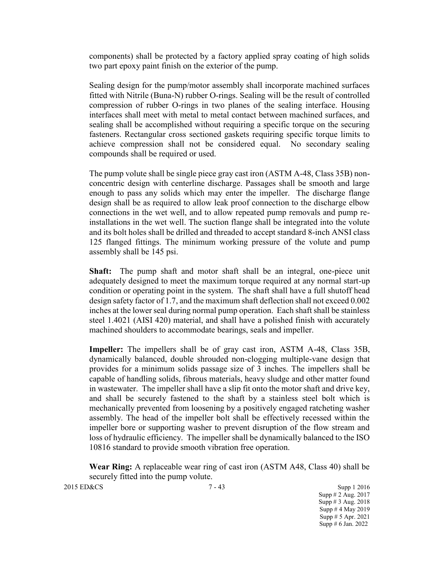components) shall be protected by a factory applied spray coating of high solids two part epoxy paint finish on the exterior of the pump.

Sealing design for the pump/motor assembly shall incorporate machined surfaces fitted with Nitrile (Buna-N) rubber O-rings. Sealing will be the result of controlled compression of rubber O-rings in two planes of the sealing interface. Housing interfaces shall meet with metal to metal contact between machined surfaces, and sealing shall be accomplished without requiring a specific torque on the securing fasteners. Rectangular cross sectioned gaskets requiring specific torque limits to achieve compression shall not be considered equal. No secondary sealing compounds shall be required or used.

The pump volute shall be single piece gray cast iron (ASTM A-48, Class 35B) nonconcentric design with centerline discharge. Passages shall be smooth and large enough to pass any solids which may enter the impeller. The discharge flange design shall be as required to allow leak proof connection to the discharge elbow connections in the wet well, and to allow repeated pump removals and pump reinstallations in the wet well. The suction flange shall be integrated into the volute and its bolt holes shall be drilled and threaded to accept standard 8-inch ANSI class 125 flanged fittings. The minimum working pressure of the volute and pump assembly shall be 145 psi.

**Shaft:** The pump shaft and motor shaft shall be an integral, one-piece unit adequately designed to meet the maximum torque required at any normal start-up condition or operating point in the system. The shaft shall have a full shutoff head design safety factor of 1.7, and the maximum shaft deflection shall not exceed 0.002 inches at the lower seal during normal pump operation. Each shaft shall be stainless steel 1.4021 (AISI 420) material, and shall have a polished finish with accurately machined shoulders to accommodate bearings, seals and impeller.

**Impeller:** The impellers shall be of gray cast iron, ASTM A-48, Class 35B, dynamically balanced, double shrouded non-clogging multiple-vane design that provides for a minimum solids passage size of 3 inches. The impellers shall be capable of handling solids, fibrous materials, heavy sludge and other matter found in wastewater. The impeller shall have a slip fit onto the motor shaft and drive key, and shall be securely fastened to the shaft by a stainless steel bolt which is mechanically prevented from loosening by a positively engaged ratcheting washer assembly. The head of the impeller bolt shall be effectively recessed within the impeller bore or supporting washer to prevent disruption of the flow stream and loss of hydraulic efficiency. The impeller shall be dynamically balanced to the ISO 10816 standard to provide smooth vibration free operation.

**Wear Ring:** A replaceable wear ring of cast iron (ASTM A48, Class 40) shall be securely fitted into the pump volute.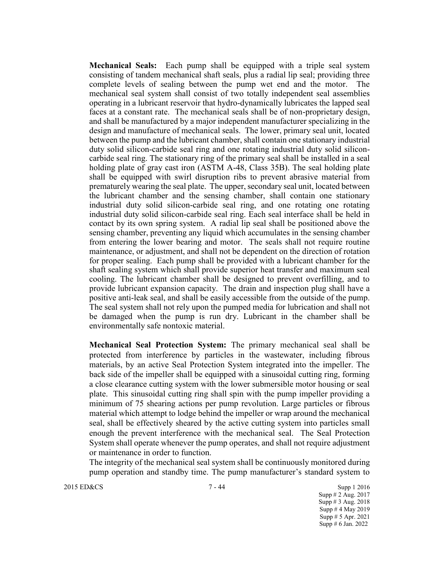**Mechanical Seals:** Each pump shall be equipped with a triple seal system consisting of tandem mechanical shaft seals, plus a radial lip seal; providing three complete levels of sealing between the pump wet end and the motor. The mechanical seal system shall consist of two totally independent seal assemblies operating in a lubricant reservoir that hydro-dynamically lubricates the lapped seal faces at a constant rate. The mechanical seals shall be of non-proprietary design, and shall be manufactured by a major independent manufacturer specializing in the design and manufacture of mechanical seals. The lower, primary seal unit, located between the pump and the lubricant chamber, shall contain one stationary industrial duty solid silicon-carbide seal ring and one rotating industrial duty solid siliconcarbide seal ring. The stationary ring of the primary seal shall be installed in a seal holding plate of gray cast iron (ASTM A-48, Class 35B). The seal holding plate shall be equipped with swirl disruption ribs to prevent abrasive material from prematurely wearing the seal plate. The upper, secondary seal unit, located between the lubricant chamber and the sensing chamber, shall contain one stationary industrial duty solid silicon-carbide seal ring, and one rotating one rotating industrial duty solid silicon-carbide seal ring. Each seal interface shall be held in contact by its own spring system. A radial lip seal shall be positioned above the sensing chamber, preventing any liquid which accumulates in the sensing chamber from entering the lower bearing and motor. The seals shall not require routine maintenance, or adjustment, and shall not be dependent on the direction of rotation for proper sealing. Each pump shall be provided with a lubricant chamber for the shaft sealing system which shall provide superior heat transfer and maximum seal cooling. The lubricant chamber shall be designed to prevent overfilling, and to provide lubricant expansion capacity. The drain and inspection plug shall have a positive anti-leak seal, and shall be easily accessible from the outside of the pump. The seal system shall not rely upon the pumped media for lubrication and shall not be damaged when the pump is run dry. Lubricant in the chamber shall be environmentally safe nontoxic material.

**Mechanical Seal Protection System:** The primary mechanical seal shall be protected from interference by particles in the wastewater, including fibrous materials, by an active Seal Protection System integrated into the impeller. The back side of the impeller shall be equipped with a sinusoidal cutting ring, forming a close clearance cutting system with the lower submersible motor housing or seal plate. This sinusoidal cutting ring shall spin with the pump impeller providing a minimum of 75 shearing actions per pump revolution. Large particles or fibrous material which attempt to lodge behind the impeller or wrap around the mechanical seal, shall be effectively sheared by the active cutting system into particles small enough the prevent interference with the mechanical seal. The Seal Protection System shall operate whenever the pump operates, and shall not require adjustment or maintenance in order to function.

The integrity of the mechanical seal system shall be continuously monitored during pump operation and standby time. The pump manufacturer's standard system to

2015 ED&CS 3upp 1 2016

Supp # 2 Aug. 2017 Supp # 3 Aug. 2018 Supp # 4 May 2019 Supp # 5 Apr. 2021 Supp  $\# 6$  Jan. 2022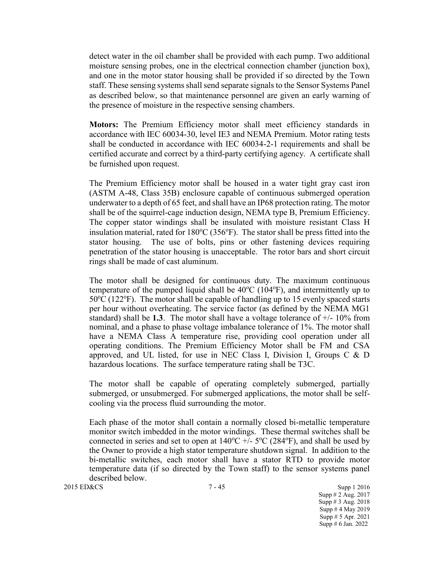detect water in the oil chamber shall be provided with each pump. Two additional moisture sensing probes, one in the electrical connection chamber (junction box), and one in the motor stator housing shall be provided if so directed by the Town staff. These sensing systems shall send separate signals to the Sensor Systems Panel as described below, so that maintenance personnel are given an early warning of the presence of moisture in the respective sensing chambers.

**Motors:** The Premium Efficiency motor shall meet efficiency standards in accordance with IEC 60034-30, level IE3 and NEMA Premium. Motor rating tests shall be conducted in accordance with IEC 60034-2-1 requirements and shall be certified accurate and correct by a third-party certifying agency. A certificate shall be furnished upon request.

The Premium Efficiency motor shall be housed in a water tight gray cast iron (ASTM A-48, Class 35B) enclosure capable of continuous submerged operation underwater to a depth of 65 feet, and shall have an IP68 protection rating. The motor shall be of the squirrel-cage induction design, NEMA type B, Premium Efficiency. The copper stator windings shall be insulated with moisture resistant Class H insulation material, rated for  $180^{\circ}$ C (356 $^{\circ}$ F). The stator shall be press fitted into the stator housing. The use of bolts, pins or other fastening devices requiring penetration of the stator housing is unacceptable. The rotor bars and short circuit rings shall be made of cast aluminum.

The motor shall be designed for continuous duty. The maximum continuous temperature of the pumped liquid shall be  $40^{\circ}$ C (104 $^{\circ}$ F), and intermittently up to  $50^{\circ}$ C (122 $^{\circ}$ F). The motor shall be capable of handling up to 15 evenly spaced starts per hour without overheating. The service factor (as defined by the NEMA MG1 standard) shall be **1.3**. The motor shall have a voltage tolerance of  $+/-10\%$  from nominal, and a phase to phase voltage imbalance tolerance of 1%. The motor shall have a NEMA Class A temperature rise, providing cool operation under all operating conditions. The Premium Efficiency Motor shall be FM and CSA approved, and UL listed, for use in NEC Class I, Division I, Groups C  $\&$  D hazardous locations. The surface temperature rating shall be T3C.

The motor shall be capable of operating completely submerged, partially submerged, or unsubmerged. For submerged applications, the motor shall be selfcooling via the process fluid surrounding the motor.

Each phase of the motor shall contain a normally closed bi-metallic temperature monitor switch imbedded in the motor windings. These thermal switches shall be connected in series and set to open at  $140^{\circ}$ C +/-  $5^{\circ}$ C (284 $^{\circ}$ F), and shall be used by the Owner to provide a high stator temperature shutdown signal. In addition to the bi-metallic switches, each motor shall have a stator RTD to provide motor temperature data (if so directed by the Town staff) to the sensor systems panel described below.

2015 ED&CS 3upp 1 2016

Supp # 2 Aug. 2017 Supp # 3 Aug. 2018 Supp # 4 May 2019 Supp # 5 Apr. 2021 Supp # 6 Jan. 2022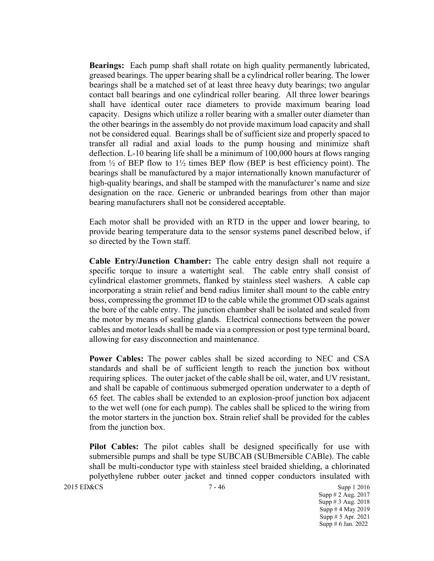**Bearings:** Each pump shaft shall rotate on high quality permanently lubricated, greased bearings. The upper bearing shall be a cylindrical roller bearing. The lower bearings shall be a matched set of at least three heavy duty bearings; two angular contact ball bearings and one cylindrical roller bearing. All three lower bearings shall have identical outer race diameters to provide maximum bearing load capacity. Designs which utilize a roller bearing with a smaller outer diameter than the other bearings in the assembly do not provide maximum load capacity and shall not be considered equal. Bearings shall be of sufficient size and properly spaced to transfer all radial and axial loads to the pump housing and minimize shaft deflection. L-10 bearing life shall be a minimum of 100,000 hours at flows ranging from  $\frac{1}{2}$  of BEP flow to  $1\frac{1}{2}$  times BEP flow (BEP is best efficiency point). The bearings shall be manufactured by a major internationally known manufacturer of high-quality bearings, and shall be stamped with the manufacturer's name and size designation on the race. Generic or unbranded bearings from other than major bearing manufacturers shall not be considered acceptable.

Each motor shall be provided with an RTD in the upper and lower bearing, to provide bearing temperature data to the sensor systems panel described below, if so directed by the Town staff.

**Cable Entry/Junction Chamber:** The cable entry design shall not require a specific torque to insure a watertight seal. The cable entry shall consist of cylindrical elastomer grommets, flanked by stainless steel washers. A cable cap incorporating a strain relief and bend radius limiter shall mount to the cable entry boss, compressing the grommet ID to the cable while the grommet OD seals against the bore of the cable entry. The junction chamber shall be isolated and sealed from the motor by means of sealing glands. Electrical connections between the power cables and motor leads shall be made via a compression or post type terminal board, allowing for easy disconnection and maintenance.

**Power Cables:** The power cables shall be sized according to NEC and CSA standards and shall be of sufficient length to reach the junction box without requiring splices. The outer jacket of the cable shall be oil, water, and UV resistant, and shall be capable of continuous submerged operation underwater to a depth of 65 feet. The cables shall be extended to an explosion-proof junction box adjacent to the wet well (one for each pump). The cables shall be spliced to the wiring from the motor starters in the junction box. Strain relief shall be provided for the cables from the junction box.

**Pilot Cables:** The pilot cables shall be designed specifically for use with submersible pumps and shall be type SUBCAB (SUBmersible CABle). The cable shall be multi-conductor type with stainless steel braided shielding, a chlorinated polyethylene rubber outer jacket and tinned copper conductors insulated with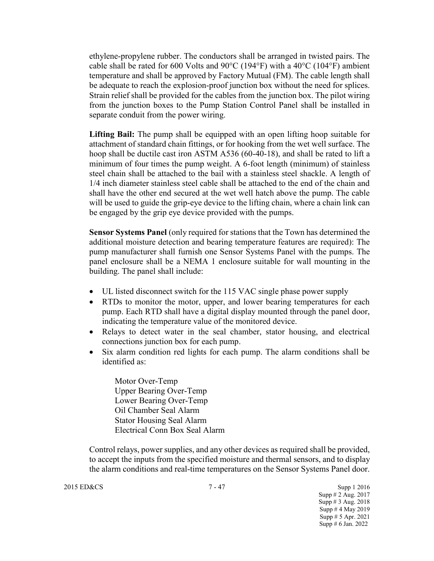ethylene-propylene rubber. The conductors shall be arranged in twisted pairs. The cable shall be rated for 600 Volts and 90 $\degree$ C (194 $\degree$ F) with a 40 $\degree$ C (104 $\degree$ F) ambient temperature and shall be approved by Factory Mutual (FM). The cable length shall be adequate to reach the explosion-proof junction box without the need for splices. Strain relief shall be provided for the cables from the junction box. The pilot wiring from the junction boxes to the Pump Station Control Panel shall be installed in separate conduit from the power wiring.

**Lifting Bail:** The pump shall be equipped with an open lifting hoop suitable for attachment of standard chain fittings, or for hooking from the wet well surface. The hoop shall be ductile cast iron ASTM A536 (60-40-18), and shall be rated to lift a minimum of four times the pump weight. A 6-foot length (minimum) of stainless steel chain shall be attached to the bail with a stainless steel shackle. A length of 1/4 inch diameter stainless steel cable shall be attached to the end of the chain and shall have the other end secured at the wet well hatch above the pump. The cable will be used to guide the grip-eye device to the lifting chain, where a chain link can be engaged by the grip eye device provided with the pumps.

**Sensor Systems Panel** (only required for stations that the Town has determined the additional moisture detection and bearing temperature features are required): The pump manufacturer shall furnish one Sensor Systems Panel with the pumps. The panel enclosure shall be a NEMA 1 enclosure suitable for wall mounting in the building. The panel shall include:

- UL listed disconnect switch for the 115 VAC single phase power supply
- RTDs to monitor the motor, upper, and lower bearing temperatures for each pump. Each RTD shall have a digital display mounted through the panel door, indicating the temperature value of the monitored device.
- Relays to detect water in the seal chamber, stator housing, and electrical connections junction box for each pump.
- Six alarm condition red lights for each pump. The alarm conditions shall be identified as:

Motor Over-Temp Upper Bearing Over-Temp Lower Bearing Over-Temp Oil Chamber Seal Alarm Stator Housing Seal Alarm Electrical Conn Box Seal Alarm

Control relays, power supplies, and any other devices as required shall be provided, to accept the inputs from the specified moisture and thermal sensors, and to display the alarm conditions and real-time temperatures on the Sensor Systems Panel door.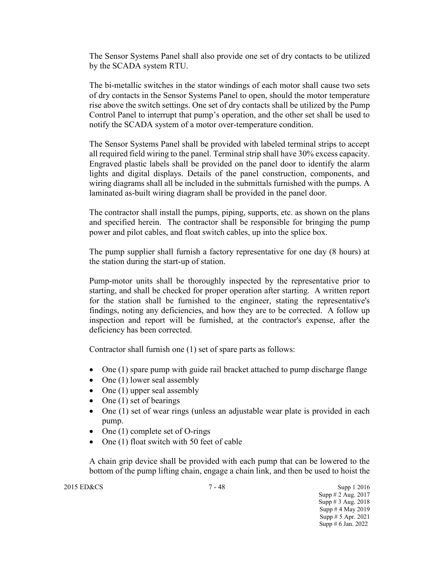The Sensor Systems Panel shall also provide one set of dry contacts to be utilized by the SCADA system RTU.

The bi-metallic switches in the stator windings of each motor shall cause two sets of dry contacts in the Sensor Systems Panel to open, should the motor temperature rise above the switch settings. One set of dry contacts shall be utilized by the Pump Control Panel to interrupt that pump's operation, and the other set shall be used to notify the SCADA system of a motor over-temperature condition.

The Sensor Systems Panel shall be provided with labeled terminal strips to accept all required field wiring to the panel. Terminal strip shall have 30% excess capacity. Engraved plastic labels shall be provided on the panel door to identify the alarm lights and digital displays. Details of the panel construction, components, and wiring diagrams shall all be included in the submittals furnished with the pumps. A laminated as-built wiring diagram shall be provided in the panel door.

The contractor shall install the pumps, piping, supports, etc. as shown on the plans and specified herein. The contractor shall be responsible for bringing the pump power and pilot cables, and float switch cables, up into the splice box.

The pump supplier shall furnish a factory representative for one day (8 hours) at the station during the start-up of station.

Pump-motor units shall be thoroughly inspected by the representative prior to starting, and shall be checked for proper operation after starting. A written report for the station shall be furnished to the engineer, stating the representative's findings, noting any deficiencies, and how they are to be corrected. A follow up inspection and report will be furnished, at the contractor's expense, after the deficiency has been corrected.

Contractor shall furnish one (1) set of spare parts as follows:

- One (1) spare pump with guide rail bracket attached to pump discharge flange
- One (1) lower seal assembly
- One (1) upper seal assembly
- One (1) set of bearings
- One (1) set of wear rings (unless an adjustable wear plate is provided in each pump.
- One (1) complete set of O-rings
- One (1) float switch with 50 feet of cable

A chain grip device shall be provided with each pump that can be lowered to the bottom of the pump lifting chain, engage a chain link, and then be used to hoist the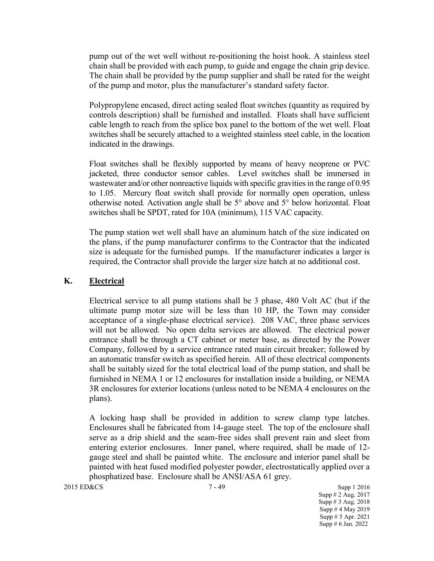pump out of the wet well without re-positioning the hoist hook. A stainless steel chain shall be provided with each pump, to guide and engage the chain grip device. The chain shall be provided by the pump supplier and shall be rated for the weight of the pump and motor, plus the manufacturer's standard safety factor.

Polypropylene encased, direct acting sealed float switches (quantity as required by controls description) shall be furnished and installed. Floats shall have sufficient cable length to reach from the splice box panel to the bottom of the wet well. Float switches shall be securely attached to a weighted stainless steel cable, in the location indicated in the drawings.

Float switches shall be flexibly supported by means of heavy neoprene or PVC jacketed, three conductor sensor cables. Level switches shall be immersed in wastewater and/or other nonreactive liquids with specific gravities in the range of 0.95 to 1.05. Mercury float switch shall provide for normally open operation, unless otherwise noted. Activation angle shall be 5° above and 5° below horizontal. Float switches shall be SPDT, rated for 10A (minimum), 115 VAC capacity.

The pump station wet well shall have an aluminum hatch of the size indicated on the plans, if the pump manufacturer confirms to the Contractor that the indicated size is adequate for the furnished pumps. If the manufacturer indicates a larger is required, the Contractor shall provide the larger size hatch at no additional cost.

### **K. Electrical**

Electrical service to all pump stations shall be 3 phase, 480 Volt AC (but if the ultimate pump motor size will be less than 10 HP, the Town may consider acceptance of a single-phase electrical service). 208 VAC, three phase services will not be allowed. No open delta services are allowed. The electrical power entrance shall be through a CT cabinet or meter base, as directed by the Power Company, followed by a service entrance rated main circuit breaker; followed by an automatic transfer switch as specified herein. All of these electrical components shall be suitably sized for the total electrical load of the pump station, and shall be furnished in NEMA 1 or 12 enclosures for installation inside a building, or NEMA 3R enclosures for exterior locations (unless noted to be NEMA 4 enclosures on the plans).

A locking hasp shall be provided in addition to screw clamp type latches. Enclosures shall be fabricated from 14-gauge steel. The top of the enclosure shall serve as a drip shield and the seam-free sides shall prevent rain and sleet from entering exterior enclosures. Inner panel, where required, shall be made of 12 gauge steel and shall be painted white. The enclosure and interior panel shall be painted with heat fused modified polyester powder, electrostatically applied over a phosphatized base. Enclosure shall be ANSI/ASA 61 grey.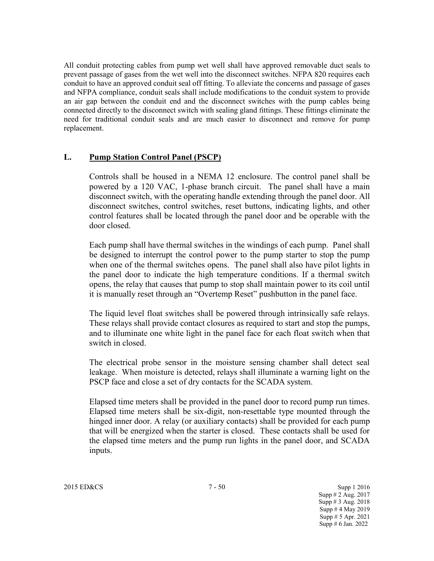All conduit protecting cables from pump wet well shall have approved removable duct seals to prevent passage of gases from the wet well into the disconnect switches. NFPA 820 requires each conduit to have an approved conduit seal off fitting. To alleviate the concerns and passage of gases and NFPA compliance, conduit seals shall include modifications to the conduit system to provide an air gap between the conduit end and the disconnect switches with the pump cables being connected directly to the disconnect switch with sealing gland fittings. These fittings eliminate the need for traditional conduit seals and are much easier to disconnect and remove for pump replacement.

### **L. Pump Station Control Panel (PSCP)**

Controls shall be housed in a NEMA 12 enclosure. The control panel shall be powered by a 120 VAC, 1-phase branch circuit. The panel shall have a main disconnect switch, with the operating handle extending through the panel door. All disconnect switches, control switches, reset buttons, indicating lights, and other control features shall be located through the panel door and be operable with the door closed.

Each pump shall have thermal switches in the windings of each pump. Panel shall be designed to interrupt the control power to the pump starter to stop the pump when one of the thermal switches opens. The panel shall also have pilot lights in the panel door to indicate the high temperature conditions. If a thermal switch opens, the relay that causes that pump to stop shall maintain power to its coil until it is manually reset through an "Overtemp Reset" pushbutton in the panel face.

The liquid level float switches shall be powered through intrinsically safe relays. These relays shall provide contact closures as required to start and stop the pumps, and to illuminate one white light in the panel face for each float switch when that switch in closed.

The electrical probe sensor in the moisture sensing chamber shall detect seal leakage. When moisture is detected, relays shall illuminate a warning light on the PSCP face and close a set of dry contacts for the SCADA system.

Elapsed time meters shall be provided in the panel door to record pump run times. Elapsed time meters shall be six-digit, non-resettable type mounted through the hinged inner door. A relay (or auxiliary contacts) shall be provided for each pump that will be energized when the starter is closed. These contacts shall be used for the elapsed time meters and the pump run lights in the panel door, and SCADA inputs.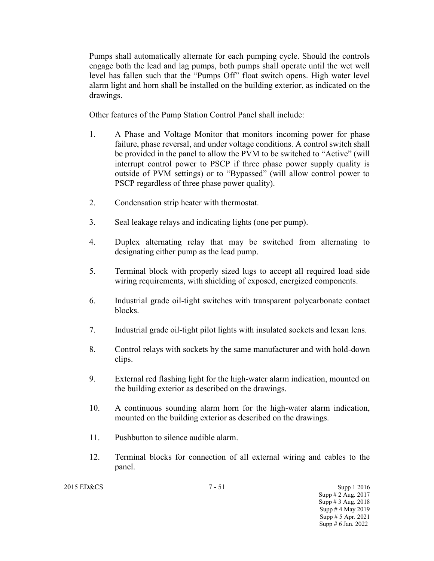Pumps shall automatically alternate for each pumping cycle. Should the controls engage both the lead and lag pumps, both pumps shall operate until the wet well level has fallen such that the "Pumps Off" float switch opens. High water level alarm light and horn shall be installed on the building exterior, as indicated on the drawings.

Other features of the Pump Station Control Panel shall include:

- 1. A Phase and Voltage Monitor that monitors incoming power for phase failure, phase reversal, and under voltage conditions. A control switch shall be provided in the panel to allow the PVM to be switched to "Active" (will interrupt control power to PSCP if three phase power supply quality is outside of PVM settings) or to "Bypassed" (will allow control power to PSCP regardless of three phase power quality).
- 2. Condensation strip heater with thermostat.
- 3. Seal leakage relays and indicating lights (one per pump).
- 4. Duplex alternating relay that may be switched from alternating to designating either pump as the lead pump.
- 5. Terminal block with properly sized lugs to accept all required load side wiring requirements, with shielding of exposed, energized components.
- 6. Industrial grade oil-tight switches with transparent polycarbonate contact blocks.
- 7. Industrial grade oil-tight pilot lights with insulated sockets and lexan lens.
- 8. Control relays with sockets by the same manufacturer and with hold-down clips.
- 9. External red flashing light for the high-water alarm indication, mounted on the building exterior as described on the drawings.
- 10. A continuous sounding alarm horn for the high-water alarm indication, mounted on the building exterior as described on the drawings.
- 11. Pushbutton to silence audible alarm.
- 12. Terminal blocks for connection of all external wiring and cables to the panel.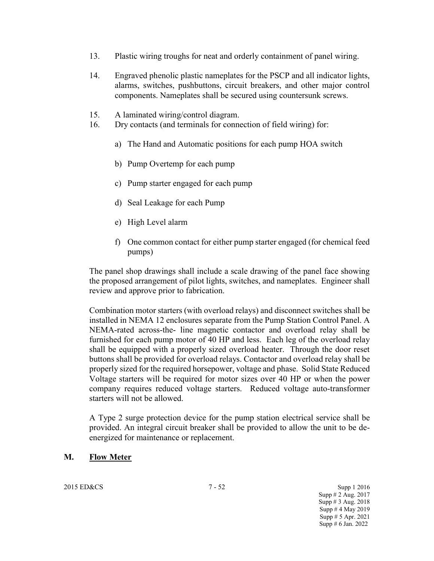- 13. Plastic wiring troughs for neat and orderly containment of panel wiring.
- 14. Engraved phenolic plastic nameplates for the PSCP and all indicator lights, alarms, switches, pushbuttons, circuit breakers, and other major control components. Nameplates shall be secured using countersunk screws.
- 15. A laminated wiring/control diagram.
- 16. Dry contacts (and terminals for connection of field wiring) for:
	- a) The Hand and Automatic positions for each pump HOA switch
	- b) Pump Overtemp for each pump
	- c) Pump starter engaged for each pump
	- d) Seal Leakage for each Pump
	- e) High Level alarm
	- f) One common contact for either pump starter engaged (for chemical feed pumps)

The panel shop drawings shall include a scale drawing of the panel face showing the proposed arrangement of pilot lights, switches, and nameplates. Engineer shall review and approve prior to fabrication.

Combination motor starters (with overload relays) and disconnect switches shall be installed in NEMA 12 enclosures separate from the Pump Station Control Panel. A NEMA-rated across-the- line magnetic contactor and overload relay shall be furnished for each pump motor of 40 HP and less. Each leg of the overload relay shall be equipped with a properly sized overload heater. Through the door reset buttons shall be provided for overload relays. Contactor and overload relay shall be properly sized for the required horsepower, voltage and phase. Solid State Reduced Voltage starters will be required for motor sizes over 40 HP or when the power company requires reduced voltage starters. Reduced voltage auto-transformer starters will not be allowed.

A Type 2 surge protection device for the pump station electrical service shall be provided. An integral circuit breaker shall be provided to allow the unit to be deenergized for maintenance or replacement.

### **M. Flow Meter**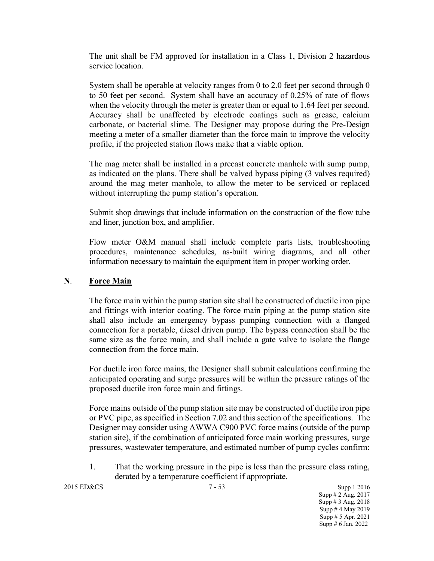The unit shall be FM approved for installation in a Class 1, Division 2 hazardous service location.

System shall be operable at velocity ranges from 0 to 2.0 feet per second through 0 to 50 feet per second. System shall have an accuracy of 0.25% of rate of flows when the velocity through the meter is greater than or equal to 1.64 feet per second. Accuracy shall be unaffected by electrode coatings such as grease, calcium carbonate, or bacterial slime. The Designer may propose during the Pre-Design meeting a meter of a smaller diameter than the force main to improve the velocity profile, if the projected station flows make that a viable option.

The mag meter shall be installed in a precast concrete manhole with sump pump, as indicated on the plans. There shall be valved bypass piping (3 valves required) around the mag meter manhole, to allow the meter to be serviced or replaced without interrupting the pump station's operation.

Submit shop drawings that include information on the construction of the flow tube and liner, junction box, and amplifier.

Flow meter O&M manual shall include complete parts lists, troubleshooting procedures, maintenance schedules, as-built wiring diagrams, and all other information necessary to maintain the equipment item in proper working order.

### **N**. **Force Main**

The force main within the pump station site shall be constructed of ductile iron pipe and fittings with interior coating. The force main piping at the pump station site shall also include an emergency bypass pumping connection with a flanged connection for a portable, diesel driven pump. The bypass connection shall be the same size as the force main, and shall include a gate valve to isolate the flange connection from the force main.

For ductile iron force mains, the Designer shall submit calculations confirming the anticipated operating and surge pressures will be within the pressure ratings of the proposed ductile iron force main and fittings.

Force mains outside of the pump station site may be constructed of ductile iron pipe or PVC pipe, as specified in Section 7.02 and this section of the specifications. The Designer may consider using AWWA C900 PVC force mains (outside of the pump station site), if the combination of anticipated force main working pressures, surge pressures, wastewater temperature, and estimated number of pump cycles confirm:

1. That the working pressure in the pipe is less than the pressure class rating, derated by a temperature coefficient if appropriate.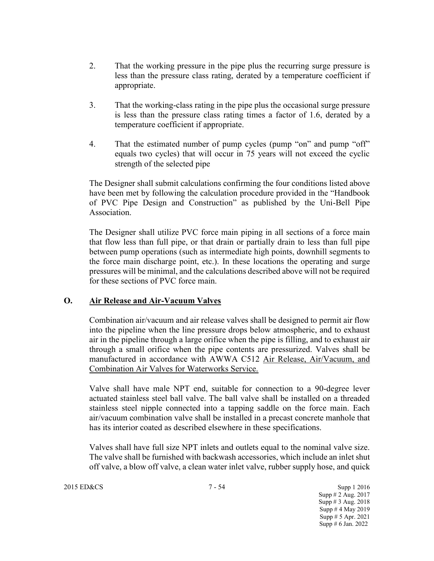- 2. That the working pressure in the pipe plus the recurring surge pressure is less than the pressure class rating, derated by a temperature coefficient if appropriate.
- 3. That the working-class rating in the pipe plus the occasional surge pressure is less than the pressure class rating times a factor of 1.6, derated by a temperature coefficient if appropriate.
- 4. That the estimated number of pump cycles (pump "on" and pump "off" equals two cycles) that will occur in 75 years will not exceed the cyclic strength of the selected pipe

The Designer shall submit calculations confirming the four conditions listed above have been met by following the calculation procedure provided in the "Handbook of PVC Pipe Design and Construction" as published by the Uni-Bell Pipe Association.

The Designer shall utilize PVC force main piping in all sections of a force main that flow less than full pipe, or that drain or partially drain to less than full pipe between pump operations (such as intermediate high points, downhill segments to the force main discharge point, etc.). In these locations the operating and surge pressures will be minimal, and the calculations described above will not be required for these sections of PVC force main.

## **O. Air Release and Air-Vacuum Valves**

Combination air/vacuum and air release valves shall be designed to permit air flow into the pipeline when the line pressure drops below atmospheric, and to exhaust air in the pipeline through a large orifice when the pipe is filling, and to exhaust air through a small orifice when the pipe contents are pressurized. Valves shall be manufactured in accordance with AWWA C512 Air Release, Air/Vacuum, and Combination Air Valves for Waterworks Service.

Valve shall have male NPT end, suitable for connection to a 90-degree lever actuated stainless steel ball valve. The ball valve shall be installed on a threaded stainless steel nipple connected into a tapping saddle on the force main. Each air/vacuum combination valve shall be installed in a precast concrete manhole that has its interior coated as described elsewhere in these specifications.

Valves shall have full size NPT inlets and outlets equal to the nominal valve size. The valve shall be furnished with backwash accessories, which include an inlet shut off valve, a blow off valve, a clean water inlet valve, rubber supply hose, and quick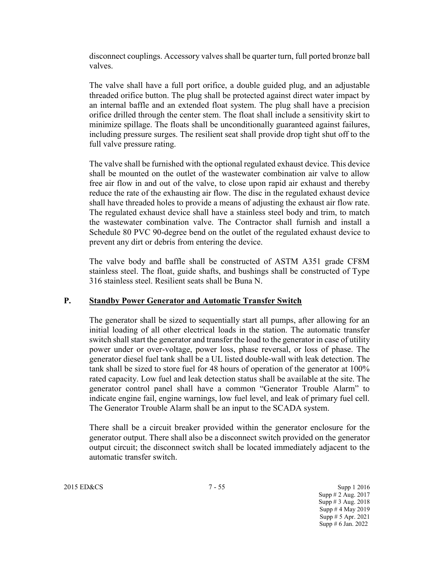disconnect couplings. Accessory valves shall be quarter turn, full ported bronze ball valves.

The valve shall have a full port orifice, a double guided plug, and an adjustable threaded orifice button. The plug shall be protected against direct water impact by an internal baffle and an extended float system. The plug shall have a precision orifice drilled through the center stem. The float shall include a sensitivity skirt to minimize spillage. The floats shall be unconditionally guaranteed against failures, including pressure surges. The resilient seat shall provide drop tight shut off to the full valve pressure rating.

The valve shall be furnished with the optional regulated exhaust device. This device shall be mounted on the outlet of the wastewater combination air valve to allow free air flow in and out of the valve, to close upon rapid air exhaust and thereby reduce the rate of the exhausting air flow. The disc in the regulated exhaust device shall have threaded holes to provide a means of adjusting the exhaust air flow rate. The regulated exhaust device shall have a stainless steel body and trim, to match the wastewater combination valve. The Contractor shall furnish and install a Schedule 80 PVC 90-degree bend on the outlet of the regulated exhaust device to prevent any dirt or debris from entering the device.

The valve body and baffle shall be constructed of ASTM A351 grade CF8M stainless steel. The float, guide shafts, and bushings shall be constructed of Type 316 stainless steel. Resilient seats shall be Buna N.

## **P. Standby Power Generator and Automatic Transfer Switch**

The generator shall be sized to sequentially start all pumps, after allowing for an initial loading of all other electrical loads in the station. The automatic transfer switch shall start the generator and transfer the load to the generator in case of utility power under or over-voltage, power loss, phase reversal, or loss of phase. The generator diesel fuel tank shall be a UL listed double-wall with leak detection. The tank shall be sized to store fuel for 48 hours of operation of the generator at 100% rated capacity. Low fuel and leak detection status shall be available at the site. The generator control panel shall have a common "Generator Trouble Alarm" to indicate engine fail, engine warnings, low fuel level, and leak of primary fuel cell. The Generator Trouble Alarm shall be an input to the SCADA system.

There shall be a circuit breaker provided within the generator enclosure for the generator output. There shall also be a disconnect switch provided on the generator output circuit; the disconnect switch shall be located immediately adjacent to the automatic transfer switch.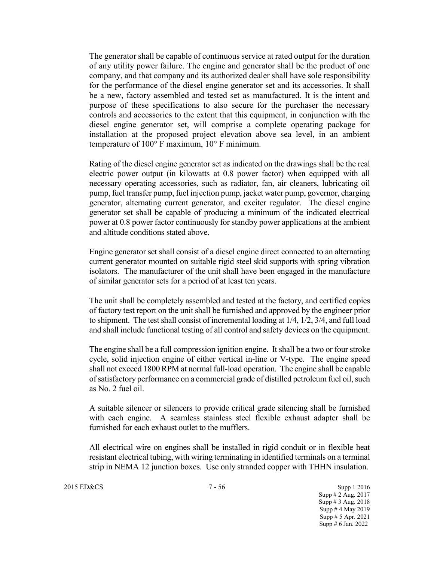The generator shall be capable of continuous service at rated output for the duration of any utility power failure. The engine and generator shall be the product of one company, and that company and its authorized dealer shall have sole responsibility for the performance of the diesel engine generator set and its accessories. It shall be a new, factory assembled and tested set as manufactured. It is the intent and purpose of these specifications to also secure for the purchaser the necessary controls and accessories to the extent that this equipment, in conjunction with the diesel engine generator set, will comprise a complete operating package for installation at the proposed project elevation above sea level, in an ambient temperature of 100° F maximum, 10° F minimum.

Rating of the diesel engine generator set as indicated on the drawings shall be the real electric power output (in kilowatts at 0.8 power factor) when equipped with all necessary operating accessories, such as radiator, fan, air cleaners, lubricating oil pump, fuel transfer pump, fuel injection pump, jacket water pump, governor, charging generator, alternating current generator, and exciter regulator. The diesel engine generator set shall be capable of producing a minimum of the indicated electrical power at 0.8 power factor continuously for standby power applications at the ambient and altitude conditions stated above.

Engine generator set shall consist of a diesel engine direct connected to an alternating current generator mounted on suitable rigid steel skid supports with spring vibration isolators. The manufacturer of the unit shall have been engaged in the manufacture of similar generator sets for a period of at least ten years.

The unit shall be completely assembled and tested at the factory, and certified copies of factory test report on the unit shall be furnished and approved by the engineer prior to shipment. The test shall consist of incremental loading at 1/4, 1/2, 3/4, and full load and shall include functional testing of all control and safety devices on the equipment.

The engine shall be a full compression ignition engine. It shall be a two or four stroke cycle, solid injection engine of either vertical in-line or V-type. The engine speed shall not exceed 1800 RPM at normal full-load operation. The engine shall be capable of satisfactory performance on a commercial grade of distilled petroleum fuel oil, such as No. 2 fuel oil.

A suitable silencer or silencers to provide critical grade silencing shall be furnished with each engine. A seamless stainless steel flexible exhaust adapter shall be furnished for each exhaust outlet to the mufflers.

All electrical wire on engines shall be installed in rigid conduit or in flexible heat resistant electrical tubing, with wiring terminating in identified terminals on a terminal strip in NEMA 12 junction boxes. Use only stranded copper with THHN insulation.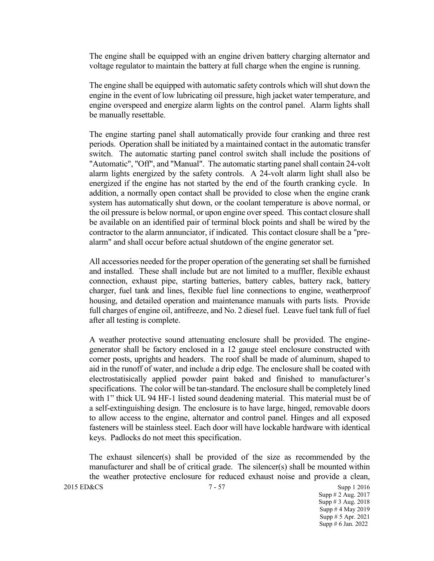The engine shall be equipped with an engine driven battery charging alternator and voltage regulator to maintain the battery at full charge when the engine is running.

The engine shall be equipped with automatic safety controls which will shut down the engine in the event of low lubricating oil pressure, high jacket water temperature, and engine overspeed and energize alarm lights on the control panel. Alarm lights shall be manually resettable.

The engine starting panel shall automatically provide four cranking and three rest periods. Operation shall be initiated by a maintained contact in the automatic transfer switch. The automatic starting panel control switch shall include the positions of "Automatic", "Off", and "Manual". The automatic starting panel shall contain 24-volt alarm lights energized by the safety controls. A 24-volt alarm light shall also be energized if the engine has not started by the end of the fourth cranking cycle. In addition, a normally open contact shall be provided to close when the engine crank system has automatically shut down, or the coolant temperature is above normal, or the oil pressure is below normal, or upon engine over speed. This contact closure shall be available on an identified pair of terminal block points and shall be wired by the contractor to the alarm annunciator, if indicated. This contact closure shall be a "prealarm" and shall occur before actual shutdown of the engine generator set.

All accessories needed for the proper operation of the generating set shall be furnished and installed. These shall include but are not limited to a muffler, flexible exhaust connection, exhaust pipe, starting batteries, battery cables, battery rack, battery charger, fuel tank and lines, flexible fuel line connections to engine, weatherproof housing, and detailed operation and maintenance manuals with parts lists. Provide full charges of engine oil, antifreeze, and No. 2 diesel fuel. Leave fuel tank full of fuel after all testing is complete.

A weather protective sound attenuating enclosure shall be provided. The enginegenerator shall be factory enclosed in a 12 gauge steel enclosure constructed with corner posts, uprights and headers. The roof shall be made of aluminum, shaped to aid in the runoff of water, and include a drip edge. The enclosure shall be coated with electrostatisically applied powder paint baked and finished to manufacturer's specifications. The color will be tan-standard. The enclosure shall be completely lined with 1" thick UL 94 HF-1 listed sound deadening material. This material must be of a self-extinguishing design. The enclosure is to have large, hinged, removable doors to allow access to the engine, alternator and control panel. Hinges and all exposed fasteners will be stainless steel. Each door will have lockable hardware with identical keys. Padlocks do not meet this specification.

The exhaust silencer(s) shall be provided of the size as recommended by the manufacturer and shall be of critical grade. The silencer(s) shall be mounted within the weather protective enclosure for reduced exhaust noise and provide a clean,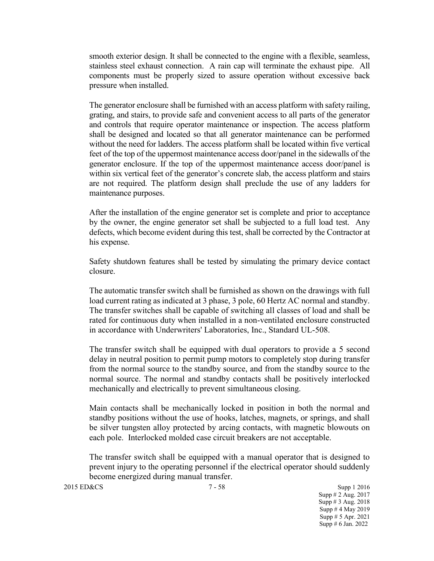smooth exterior design. It shall be connected to the engine with a flexible, seamless, stainless steel exhaust connection. A rain cap will terminate the exhaust pipe. All components must be properly sized to assure operation without excessive back pressure when installed.

The generator enclosure shall be furnished with an access platform with safety railing, grating, and stairs, to provide safe and convenient access to all parts of the generator and controls that require operator maintenance or inspection. The access platform shall be designed and located so that all generator maintenance can be performed without the need for ladders. The access platform shall be located within five vertical feet of the top of the uppermost maintenance access door/panel in the sidewalls of the generator enclosure. If the top of the uppermost maintenance access door/panel is within six vertical feet of the generator's concrete slab, the access platform and stairs are not required. The platform design shall preclude the use of any ladders for maintenance purposes.

After the installation of the engine generator set is complete and prior to acceptance by the owner, the engine generator set shall be subjected to a full load test. Any defects, which become evident during this test, shall be corrected by the Contractor at his expense.

Safety shutdown features shall be tested by simulating the primary device contact closure.

The automatic transfer switch shall be furnished as shown on the drawings with full load current rating as indicated at 3 phase, 3 pole, 60 Hertz AC normal and standby. The transfer switches shall be capable of switching all classes of load and shall be rated for continuous duty when installed in a non-ventilated enclosure constructed in accordance with Underwriters' Laboratories, Inc., Standard UL-508.

The transfer switch shall be equipped with dual operators to provide a 5 second delay in neutral position to permit pump motors to completely stop during transfer from the normal source to the standby source, and from the standby source to the normal source. The normal and standby contacts shall be positively interlocked mechanically and electrically to prevent simultaneous closing.

Main contacts shall be mechanically locked in position in both the normal and standby positions without the use of hooks, latches, magnets, or springs, and shall be silver tungsten alloy protected by arcing contacts, with magnetic blowouts on each pole. Interlocked molded case circuit breakers are not acceptable.

The transfer switch shall be equipped with a manual operator that is designed to prevent injury to the operating personnel if the electrical operator should suddenly become energized during manual transfer.

2015 ED&CS 3upp 1 2016 Supp # 2 Aug. 2017 Supp # 3 Aug. 2018 Supp # 4 May 2019 Supp # 5 Apr. 2021 Supp # 6 Jan. 2022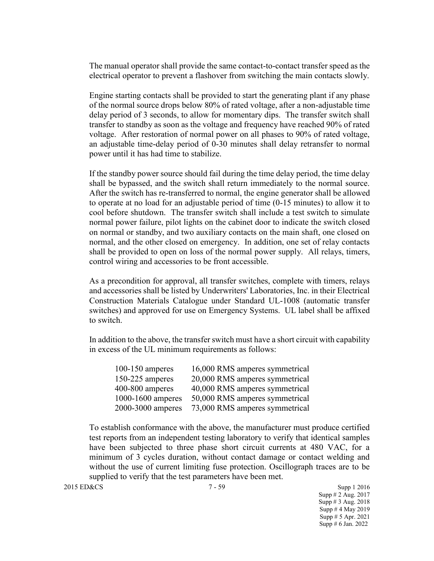The manual operator shall provide the same contact-to-contact transfer speed as the electrical operator to prevent a flashover from switching the main contacts slowly.

Engine starting contacts shall be provided to start the generating plant if any phase of the normal source drops below 80% of rated voltage, after a non-adjustable time delay period of 3 seconds, to allow for momentary dips. The transfer switch shall transfer to standby as soon as the voltage and frequency have reached 90% of rated voltage. After restoration of normal power on all phases to 90% of rated voltage, an adjustable time-delay period of 0-30 minutes shall delay retransfer to normal power until it has had time to stabilize.

If the standby power source should fail during the time delay period, the time delay shall be bypassed, and the switch shall return immediately to the normal source. After the switch has re-transferred to normal, the engine generator shall be allowed to operate at no load for an adjustable period of time (0-15 minutes) to allow it to cool before shutdown. The transfer switch shall include a test switch to simulate normal power failure, pilot lights on the cabinet door to indicate the switch closed on normal or standby, and two auxiliary contacts on the main shaft, one closed on normal, and the other closed on emergency. In addition, one set of relay contacts shall be provided to open on loss of the normal power supply. All relays, timers, control wiring and accessories to be front accessible.

As a precondition for approval, all transfer switches, complete with timers, relays and accessories shall be listed by Underwriters' Laboratories, Inc. in their Electrical Construction Materials Catalogue under Standard UL-1008 (automatic transfer switches) and approved for use on Emergency Systems. UL label shall be affixed to switch.

In addition to the above, the transfer switch must have a short circuit with capability in excess of the UL minimum requirements as follows:

| $100-150$ amperes | 16,000 RMS amperes symmetrical |
|-------------------|--------------------------------|
| $150-225$ amperes | 20,000 RMS amperes symmetrical |
| $400-800$ amperes | 40,000 RMS amperes symmetrical |
| 1000-1600 amperes | 50,000 RMS amperes symmetrical |
| 2000-3000 amperes | 73,000 RMS amperes symmetrical |

To establish conformance with the above, the manufacturer must produce certified test reports from an independent testing laboratory to verify that identical samples have been subjected to three phase short circuit currents at 480 VAC, for a minimum of 3 cycles duration, without contact damage or contact welding and without the use of current limiting fuse protection. Oscillograph traces are to be supplied to verify that the test parameters have been met.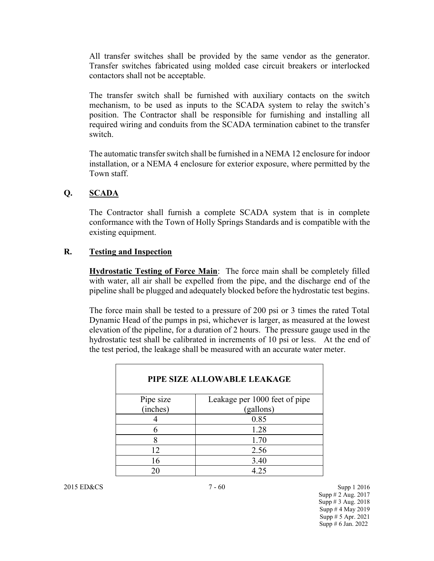All transfer switches shall be provided by the same vendor as the generator. Transfer switches fabricated using molded case circuit breakers or interlocked contactors shall not be acceptable.

The transfer switch shall be furnished with auxiliary contacts on the switch mechanism, to be used as inputs to the SCADA system to relay the switch's position. The Contractor shall be responsible for furnishing and installing all required wiring and conduits from the SCADA termination cabinet to the transfer switch.

The automatic transfer switch shall be furnished in a NEMA 12 enclosure for indoor installation, or a NEMA 4 enclosure for exterior exposure, where permitted by the Town staff.

### **Q. SCADA**

The Contractor shall furnish a complete SCADA system that is in complete conformance with the Town of Holly Springs Standards and is compatible with the existing equipment.

#### **R. Testing and Inspection**

**Hydrostatic Testing of Force Main**: The force main shall be completely filled with water, all air shall be expelled from the pipe, and the discharge end of the pipeline shall be plugged and adequately blocked before the hydrostatic test begins.

The force main shall be tested to a pressure of 200 psi or 3 times the rated Total Dynamic Head of the pumps in psi, whichever is larger, as measured at the lowest elevation of the pipeline, for a duration of 2 hours. The pressure gauge used in the hydrostatic test shall be calibrated in increments of 10 psi or less. At the end of the test period, the leakage shall be measured with an accurate water meter.

| PIPE SIZE ALLOWABLE LEAKAGE |                               |  |
|-----------------------------|-------------------------------|--|
| Pipe size                   | Leakage per 1000 feet of pipe |  |
| (inches)                    | (gallons)                     |  |
|                             | 0.85                          |  |
| 6                           | 1.28                          |  |
|                             | 1.70                          |  |
| 12                          | 2.56                          |  |
| 16                          | 3.40                          |  |
|                             | 4.25                          |  |

2015 ED&CS 3upp 1 2016 Supp # 2 Aug. 2017 Supp # 3 Aug. 2018 Supp # 4 May 2019 Supp # 5 Apr. 2021 Supp # 6 Jan. 2022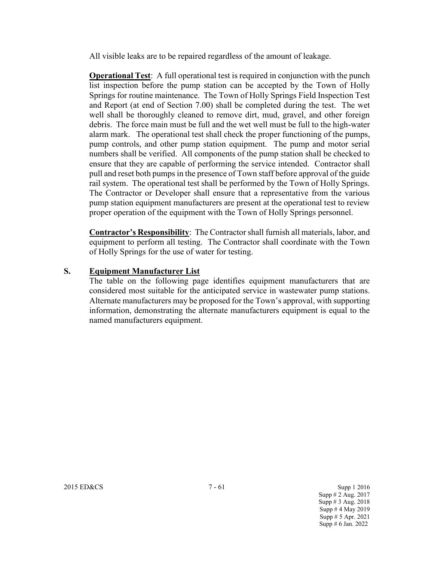All visible leaks are to be repaired regardless of the amount of leakage.

**Operational Test**: A full operational test is required in conjunction with the punch list inspection before the pump station can be accepted by the Town of Holly Springs for routine maintenance. The Town of Holly Springs Field Inspection Test and Report (at end of Section 7.00) shall be completed during the test. The wet well shall be thoroughly cleaned to remove dirt, mud, gravel, and other foreign debris. The force main must be full and the wet well must be full to the high-water alarm mark. The operational test shall check the proper functioning of the pumps, pump controls, and other pump station equipment. The pump and motor serial numbers shall be verified. All components of the pump station shall be checked to ensure that they are capable of performing the service intended. Contractor shall pull and reset both pumps in the presence of Town staff before approval of the guide rail system. The operational test shall be performed by the Town of Holly Springs. The Contractor or Developer shall ensure that a representative from the various pump station equipment manufacturers are present at the operational test to review proper operation of the equipment with the Town of Holly Springs personnel.

**Contractor's Responsibility**: The Contractor shall furnish all materials, labor, and equipment to perform all testing. The Contractor shall coordinate with the Town of Holly Springs for the use of water for testing.

## **S. Equipment Manufacturer List**

The table on the following page identifies equipment manufacturers that are considered most suitable for the anticipated service in wastewater pump stations. Alternate manufacturers may be proposed for the Town's approval, with supporting information, demonstrating the alternate manufacturers equipment is equal to the named manufacturers equipment.

2015 ED&CS 7 - 61 Supp 1 2016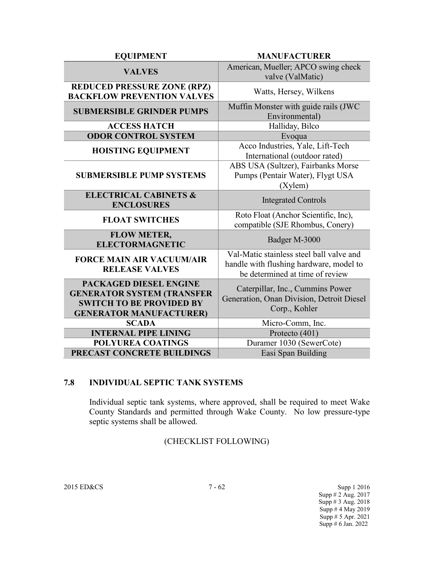| <b>EQUIPMENT</b>                                                                                                                 | <b>MANUFACTURER</b>                                                                                                    |  |
|----------------------------------------------------------------------------------------------------------------------------------|------------------------------------------------------------------------------------------------------------------------|--|
| <b>VALVES</b>                                                                                                                    | American, Mueller; APCO swing check<br>valve (ValMatic)                                                                |  |
| <b>REDUCED PRESSURE ZONE (RPZ)</b><br><b>BACKFLOW PREVENTION VALVES</b>                                                          | Watts, Hersey, Wilkens                                                                                                 |  |
| <b>SUBMERSIBLE GRINDER PUMPS</b>                                                                                                 | Muffin Monster with guide rails (JWC<br>Environmental)                                                                 |  |
| <b>ACCESS HATCH</b>                                                                                                              | Halliday, Bilco                                                                                                        |  |
| <b>ODOR CONTROL SYSTEM</b>                                                                                                       | Evoqua                                                                                                                 |  |
| <b>HOISTING EQUIPMENT</b>                                                                                                        | Acco Industries, Yale, Lift-Tech<br>International (outdoor rated)                                                      |  |
| <b>SUBMERSIBLE PUMP SYSTEMS</b>                                                                                                  | ABS USA (Sultzer), Fairbanks Morse<br>Pumps (Pentair Water), Flygt USA<br>(Xylem)                                      |  |
| <b>ELECTRICAL CABINETS &amp;</b><br><b>ENCLOSURES</b>                                                                            | <b>Integrated Controls</b>                                                                                             |  |
| <b>FLOAT SWITCHES</b>                                                                                                            | Roto Float (Anchor Scientific, Inc),<br>compatible (SJE Rhombus, Conery)                                               |  |
| <b>FLOW METER,</b><br><b>ELECTORMAGNETIC</b>                                                                                     | Badger M-3000                                                                                                          |  |
| <b>FORCE MAIN AIR VACUUM/AIR</b><br><b>RELEASE VALVES</b>                                                                        | Val-Matic stainless steel ball valve and<br>handle with flushing hardware, model to<br>be determined at time of review |  |
| PACKAGED DIESEL ENGINE<br><b>GENERATOR SYSTEM (TRANSFER</b><br><b>SWITCH TO BE PROVIDED BY</b><br><b>GENERATOR MANUFACTURER)</b> | Caterpillar, Inc., Cummins Power<br>Generation, Onan Division, Detroit Diesel<br>Corp., Kohler                         |  |
| <b>SCADA</b>                                                                                                                     | Micro-Comm, Inc.                                                                                                       |  |
| <b>INTERNAL PIPE LINING</b>                                                                                                      | Protecto (401)                                                                                                         |  |
| <b>POLYUREA COATINGS</b>                                                                                                         | Duramer 1030 (SewerCote)                                                                                               |  |
| PRECAST CONCRETE BUILDINGS                                                                                                       | Easi Span Building                                                                                                     |  |

## **7.8 INDIVIDUAL SEPTIC TANK SYSTEMS**

Individual septic tank systems, where approved, shall be required to meet Wake County Standards and permitted through Wake County. No low pressure-type septic systems shall be allowed.

# (CHECKLIST FOLLOWING)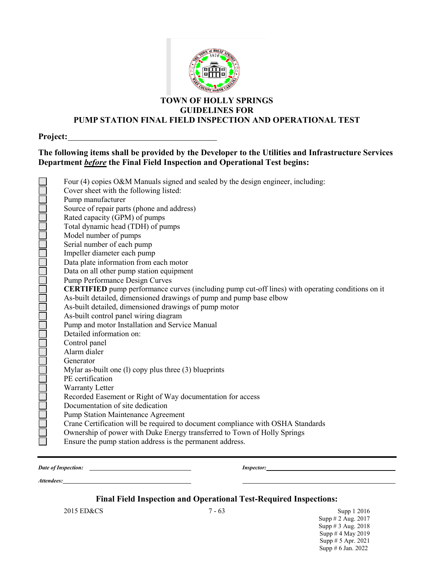

#### **TOWN OF HOLLY SPRINGS GUIDELINES FOR PUMP STATION FINAL FIELD INSPECTION AND OPERATIONAL TEST**

**Project:**

## **The following items shall be provided by the Developer to the Utilities and Infrastructure Services Department** *before* **the Final Field Inspection and Operational Test begins:**

| أحالها أحالها لمالها لمالها لمالها لمالها لمالها لمالها لمالها لمالها لمالها لمالها لمالها لماله | Four (4) copies O&M Manuals signed and sealed by the design engineer, including:                        |
|--------------------------------------------------------------------------------------------------|---------------------------------------------------------------------------------------------------------|
|                                                                                                  | Cover sheet with the following listed:                                                                  |
|                                                                                                  | Pump manufacturer                                                                                       |
|                                                                                                  | Source of repair parts (phone and address)                                                              |
|                                                                                                  | Rated capacity (GPM) of pumps                                                                           |
|                                                                                                  | Total dynamic head (TDH) of pumps                                                                       |
|                                                                                                  | Model number of pumps                                                                                   |
|                                                                                                  | Serial number of each pump                                                                              |
|                                                                                                  | Impeller diameter each pump                                                                             |
|                                                                                                  | Data plate information from each motor                                                                  |
|                                                                                                  | Data on all other pump station equipment                                                                |
|                                                                                                  | Pump Performance Design Curves                                                                          |
|                                                                                                  | <b>CERTIFIED</b> pump performance curves (including pump cut-off lines) with operating conditions on it |
|                                                                                                  | As-built detailed, dimensioned drawings of pump and pump base elbow                                     |
|                                                                                                  | As-built detailed, dimensioned drawings of pump motor                                                   |
|                                                                                                  | As-built control panel wiring diagram                                                                   |
|                                                                                                  | Pump and motor Installation and Service Manual                                                          |
|                                                                                                  | Detailed information on:                                                                                |
|                                                                                                  | Control panel                                                                                           |
|                                                                                                  | Alarm dialer                                                                                            |
|                                                                                                  | Generator                                                                                               |
|                                                                                                  | Mylar as-built one (1) copy plus three $(3)$ blueprints                                                 |
|                                                                                                  | PE certification                                                                                        |
|                                                                                                  | Warranty Letter                                                                                         |
|                                                                                                  | Recorded Easement or Right of Way documentation for access                                              |
|                                                                                                  | Documentation of site dedication                                                                        |
|                                                                                                  | <b>Pump Station Maintenance Agreement</b>                                                               |
|                                                                                                  | Crane Certification will be required to document compliance with OSHA Standards                         |
|                                                                                                  | Ownership of power with Duke Energy transferred to Town of Holly Springs                                |
|                                                                                                  | Ensure the pump station address is the permanent address.                                               |
|                                                                                                  |                                                                                                         |

*Date of Inspection: Inspector:*

*Attendees:*

**Final Field Inspection and Operational Test-Required Inspections:**

2015 ED&CS 7 - 63 Supp 1 2016 Supp # 2 Aug. 2017 Supp # 3 Aug. 2018 Supp # 4 May 2019 Supp # 5 Apr. 2021 Supp # 6 Jan. 2022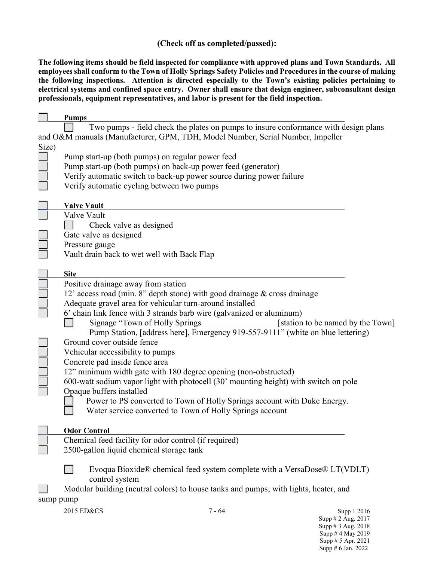### **(Check off as completed/passed):**

**The following items should be field inspected for compliance with approved plans and Town Standards. All employees shall conform to the Town of Holly Springs Safety Policies and Procedures in the course of making the following inspections. Attention is directed especially to the Town's existing policies pertaining to electrical systems and confined space entry. Owner shall ensure that design engineer, subconsultant design professionals, equipment representatives, and labor is present for the field inspection.**

|                                                                                      | <b>Pumps</b>                                                                         |  |  |  |
|--------------------------------------------------------------------------------------|--------------------------------------------------------------------------------------|--|--|--|
|                                                                                      | Two pumps - field check the plates on pumps to insure conformance with design plans  |  |  |  |
|                                                                                      | and O&M manuals (Manufacturer, GPM, TDH, Model Number, Serial Number, Impeller       |  |  |  |
| Size)                                                                                |                                                                                      |  |  |  |
|                                                                                      | Pump start-up (both pumps) on regular power feed                                     |  |  |  |
|                                                                                      | Pump start-up (both pumps) on back-up power feed (generator)                         |  |  |  |
|                                                                                      | Verify automatic switch to back-up power source during power failure                 |  |  |  |
|                                                                                      | Verify automatic cycling between two pumps                                           |  |  |  |
|                                                                                      |                                                                                      |  |  |  |
|                                                                                      | <b>Valve Vault</b>                                                                   |  |  |  |
|                                                                                      | Valve Vault                                                                          |  |  |  |
|                                                                                      | Check valve as designed                                                              |  |  |  |
|                                                                                      | Gate valve as designed                                                               |  |  |  |
|                                                                                      | Pressure gauge                                                                       |  |  |  |
|                                                                                      | Vault drain back to wet well with Back Flap                                          |  |  |  |
|                                                                                      |                                                                                      |  |  |  |
|                                                                                      | <b>Site</b>                                                                          |  |  |  |
|                                                                                      | Positive drainage away from station                                                  |  |  |  |
|                                                                                      | 12' access road (min. 8" depth stone) with good drainage & cross drainage            |  |  |  |
|                                                                                      | Adequate gravel area for vehicular turn-around installed                             |  |  |  |
|                                                                                      | 6' chain link fence with 3 strands barb wire (galvanized or aluminum)                |  |  |  |
|                                                                                      | Signage "Town of Holly Springs"<br>[station to be named by the Town]                 |  |  |  |
|                                                                                      | Pump Station, [address here], Emergency 919-557-9111" (white on blue lettering)      |  |  |  |
|                                                                                      | Ground cover outside fence                                                           |  |  |  |
|                                                                                      | Vehicular accessibility to pumps                                                     |  |  |  |
|                                                                                      | Concrete pad inside fence area                                                       |  |  |  |
|                                                                                      | 12" minimum width gate with 180 degree opening (non-obstructed)                      |  |  |  |
|                                                                                      | 600-watt sodium vapor light with photocell (30' mounting height) with switch on pole |  |  |  |
|                                                                                      | Opaque buffers installed                                                             |  |  |  |
|                                                                                      | Power to PS converted to Town of Holly Springs account with Duke Energy.             |  |  |  |
|                                                                                      | Water service converted to Town of Holly Springs account                             |  |  |  |
|                                                                                      |                                                                                      |  |  |  |
|                                                                                      | <b>Odor Control</b>                                                                  |  |  |  |
|                                                                                      | Chemical feed facility for odor control (if required)                                |  |  |  |
|                                                                                      | 2500-gallon liquid chemical storage tank                                             |  |  |  |
|                                                                                      |                                                                                      |  |  |  |
|                                                                                      | Evoqua Bioxide® chemical feed system complete with a VersaDose® $LT(VDLT)$           |  |  |  |
|                                                                                      | control system                                                                       |  |  |  |
| Modular building (neutral colors) to house tanks and pumps; with lights, heater, and |                                                                                      |  |  |  |
| sump pump                                                                            |                                                                                      |  |  |  |
|                                                                                      | 2015 ED&CS<br>$7 - 64$<br>Supp 1 2016                                                |  |  |  |
|                                                                                      | Supp # 2 Aug. 2017                                                                   |  |  |  |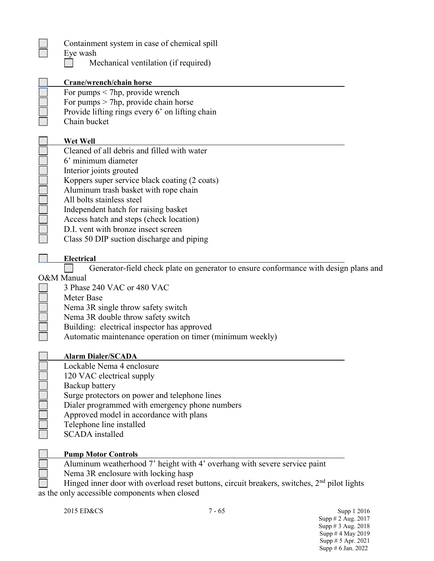| Containment system in case of chemical spill<br>Eye wash<br>Mechanical ventilation (if required)                                                                                                                                                                                                                                                                                                        |  |
|---------------------------------------------------------------------------------------------------------------------------------------------------------------------------------------------------------------------------------------------------------------------------------------------------------------------------------------------------------------------------------------------------------|--|
| Crane/wrench/chain horse<br>For pumps $\leq$ 7hp, provide wrench<br>For pumps $>$ 7hp, provide chain horse<br>Provide lifting rings every 6' on lifting chain<br>Chain bucket                                                                                                                                                                                                                           |  |
| Wet Well<br>Cleaned of all debris and filled with water<br>6' minimum diameter<br>Interior joints grouted<br>Koppers super service black coating (2 coats)<br>Aluminum trash basket with rope chain<br>All bolts stainless steel<br>Independent hatch for raising basket<br>Access hatch and steps (check location)<br>D.I. vent with bronze insect screen<br>Class 50 DIP suction discharge and piping |  |
| <b>Electrical</b><br>Generator-field check plate on generator to ensure conformance with design plans and                                                                                                                                                                                                                                                                                               |  |
| O&M Manual<br>3 Phase 240 VAC or 480 VAC<br>Meter Base<br>Nema 3R single throw safety switch<br>Nema 3R double throw safety switch<br>Building: electrical inspector has approved<br>Automatic maintenance operation on timer (minimum weekly)                                                                                                                                                          |  |
| <b>Alarm Dialer/SCADA</b><br>Lockable Nema 4 enclosure<br>120 VAC electrical supply<br>Backup battery<br>Surge protectors on power and telephone lines<br>Dialer programmed with emergency phone numbers<br>Approved model in accordance with plans<br>Telephone line installed<br><b>SCADA</b> installed                                                                                               |  |
| <b>Pump Motor Controls</b><br>Aluminum weatherhood 7' height with 4' overhang with severe service paint<br>Nema 3R enclosure with locking hasp<br>Hinged inner door with overload reset buttons, circuit breakers, switches, $2nd$ pilot lights<br>as the only accessible components when closed                                                                                                        |  |